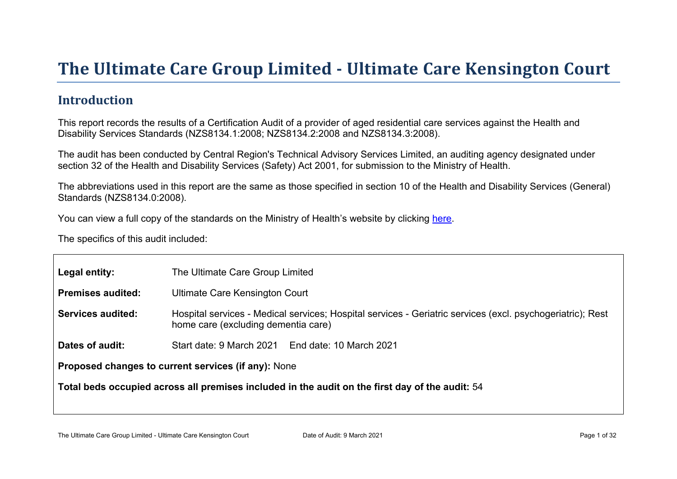# The Ultimate Car e Gr oup Limited - Ultimate Car e Kensington Court

#### Introduction

This report records the results of a Certification Audit of a provider of aged residential care services against the Health and Disability Services Standards (NZS8134.1:2008; NZS8134.2:2008 and NZS8134.3:2008).

The audit has been conducted by Central Region's Technical Advisory Services Limited, an auditing agency designated under section 32 of the Health and Disability Services (Safety) Act 2001, for submission to the Ministry of Health.

The abbreviations used in this report are the same as those specified in section 10 of the Health and Disability Services (General) Standards (NZS8134.0:2008).

You can view a full copy of the standards on the Ministry of Health's website by clicking [here.](http://www.health.govt.nz/our-work/regulation-health-and-disability-system/certification-health-care-services/health-and-disability-services-standards)

The specifics of this audit included:

| Legal entity:                                          | The Ultimate Care Group Limited                                                                                                                   |  |  |
|--------------------------------------------------------|---------------------------------------------------------------------------------------------------------------------------------------------------|--|--|
| Premises audited:                                      | Ultimate Care Kensington Court                                                                                                                    |  |  |
| Services audited:                                      | Hospital services - Medical services; Hospital services - Geriatric services (excl. psychogeriatric); Rest<br>home care (excluding dementia care) |  |  |
| Dates of audit:                                        | Start date: 9 March 2021 End date: 10 March 2021                                                                                                  |  |  |
| Proposed changes to current<br>services (if any): None |                                                                                                                                                   |  |  |
| Total beds occupied across all premises included       | in the audit on the first day of the audit: 54                                                                                                    |  |  |
|                                                        |                                                                                                                                                   |  |  |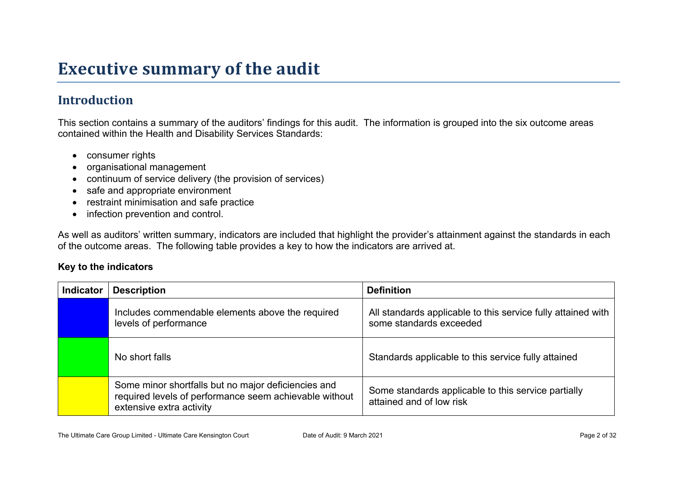## **Executive summary of the audit**

### **Introduction**

This section contains a summary of the auditors' findings for this audit. The information is grouped into the six outcome areas contained within the Health and Disability Services Standards:

- consumer rights
- organisational management
- continuum of service delivery (the provision of services)
- safe and appropriate environment
- restraint minimisation and safe practice
- infection prevention and control.

As well as auditors' written summary, indicators are included that highlight the provider's attainment against the standards in each of the outcome areas. The following table provides a key to how the indicators are arrived at.

#### **Key to the indicators**

| <b>Indicator</b> | <b>Description</b>                                                                                                                        | <b>Definition</b>                                                                       |  |
|------------------|-------------------------------------------------------------------------------------------------------------------------------------------|-----------------------------------------------------------------------------------------|--|
|                  | Includes commendable elements above the required<br>levels of performance                                                                 | All standards applicable to this service fully attained with<br>some standards exceeded |  |
|                  | No short falls                                                                                                                            | Standards applicable to this service fully attained                                     |  |
|                  | Some minor shortfalls but no major deficiencies and<br>required levels of performance seem achievable without<br>extensive extra activity | Some standards applicable to this service partially<br>attained and of low risk         |  |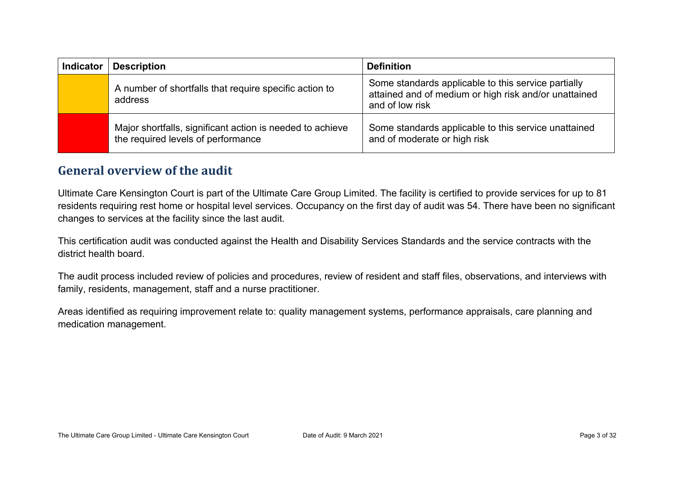| <b>Indicator</b> | <b>Description</b>                                                                              | <b>Definition</b>                                                                                                               |
|------------------|-------------------------------------------------------------------------------------------------|---------------------------------------------------------------------------------------------------------------------------------|
|                  | A number of shortfalls that require specific action to<br>address                               | Some standards applicable to this service partially<br>attained and of medium or high risk and/or unattained<br>and of low risk |
|                  | Major shortfalls, significant action is needed to achieve<br>the required levels of performance | Some standards applicable to this service unattained<br>and of moderate or high risk                                            |

#### **General overview of the audit**

Ultimate Care Kensington Court is part of the Ultimate Care Group Limited. The facility is certified to provide services for up to 81 residents requiring rest home or hospital level services. Occupancy on the first day of audit was 54. There have been no significant changes to services at the facility since the last audit.

This certification audit was conducted against the Health and Disability Services Standards and the service contracts with the district health board.

The audit process included review of policies and procedures, review of resident and staff files, observations, and interviews with family, residents, management, staff and a nurse practitioner.

Areas identified as requiring improvement relate to: quality management systems, performance appraisals, care planning and medication management.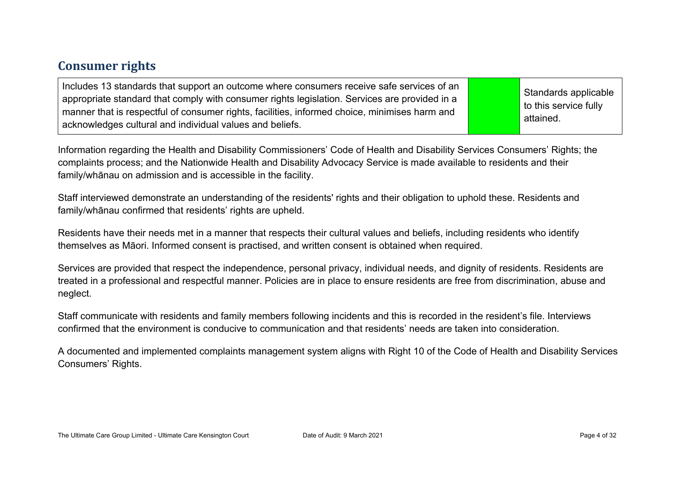#### **Consumer rights**

| Includes 13 standards that support an outcome where consumers receive safe services of an<br>appropriate standard that comply with consumer rights legislation. Services are provided in a<br>manner that is respectful of consumer rights, facilities, informed choice, minimises harm and<br>acknowledges cultural and individual values and beliefs. |  | Standards applicable<br>$\vert$ to this service fully<br>' attained. |
|---------------------------------------------------------------------------------------------------------------------------------------------------------------------------------------------------------------------------------------------------------------------------------------------------------------------------------------------------------|--|----------------------------------------------------------------------|
|---------------------------------------------------------------------------------------------------------------------------------------------------------------------------------------------------------------------------------------------------------------------------------------------------------------------------------------------------------|--|----------------------------------------------------------------------|

Information regarding the Health and Disability Commissioners' Code of Health and Disability Services Consumers' Rights; the complaints process; and the Nationwide Health and Disability Advocacy Service is made available to residents and their family/whānau on admission and is accessible in the facility.

Staff interviewed demonstrate an understanding of the residents' rights and their obligation to uphold these. Residents and family/whānau confirmed that residents' rights are upheld.

Residents have their needs met in a manner that respects their cultural values and beliefs, including residents who identify themselves as Māori. Informed consent is practised, and written consent is obtained when required.

Services are provided that respect the independence, personal privacy, individual needs, and dignity of residents. Residents are treated in a professional and respectful manner. Policies are in place to ensure residents are free from discrimination, abuse and neglect.

Staff communicate with residents and family members following incidents and this is recorded in the resident's file. Interviews confirmed that the environment is conducive to communication and that residents' needs are taken into consideration.

A documented and implemented complaints management system aligns with Right 10 of the Code of Health and Disability Services Consumers' Rights.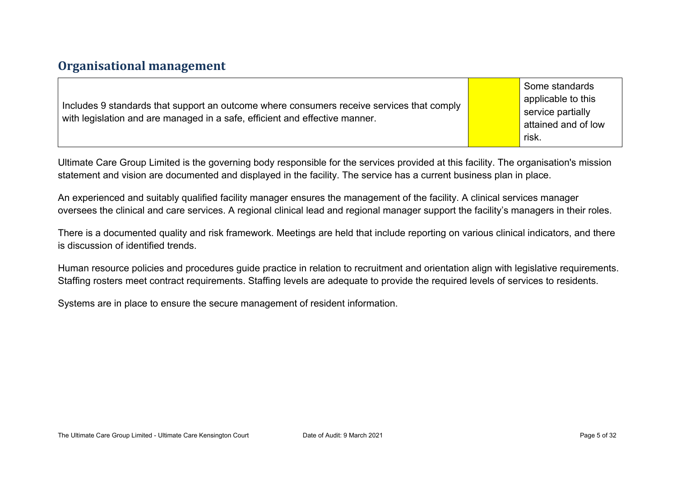#### **Organisational management**

| Includes 9 standards that support an outcome where consumers receive services that comply<br>with legislation and are managed in a safe, efficient and effective manner. | Some standards<br>applicable to this<br>service partially<br>attained and of low<br>risk. |
|--------------------------------------------------------------------------------------------------------------------------------------------------------------------------|-------------------------------------------------------------------------------------------|
|--------------------------------------------------------------------------------------------------------------------------------------------------------------------------|-------------------------------------------------------------------------------------------|

Ultimate Care Group Limited is the governing body responsible for the services provided at this facility. The organisation's mission statement and vision are documented and displayed in the facility. The service has a current business plan in place.

An experienced and suitably qualified facility manager ensures the management of the facility. A clinical services manager oversees the clinical and care services. A regional clinical lead and regional manager support the facility's managers in their roles.

There is a documented quality and risk framework. Meetings are held that include reporting on various clinical indicators, and there is discussion of identified trends.

Human resource policies and procedures guide practice in relation to recruitment and orientation align with legislative requirements. Staffing rosters meet contract requirements. Staffing levels are adequate to provide the required levels of services to residents.

Systems are in place to ensure the secure management of resident information.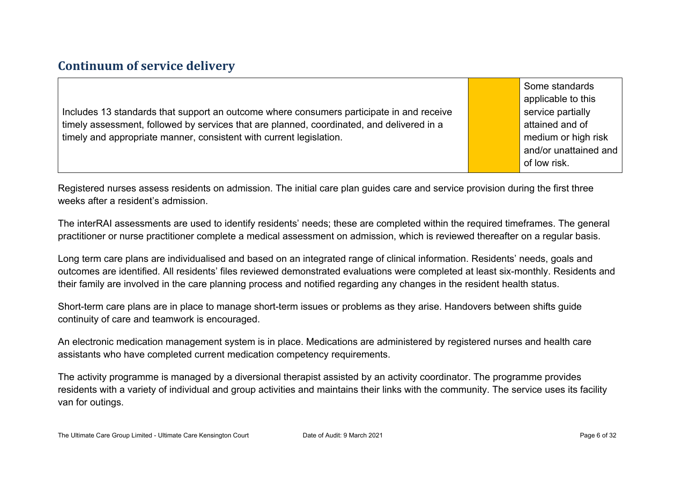#### **Continuum of service delivery**

Includes 13 standards that support an outcome where consumers participate in and receive timely assessment, followed by services that are planned, coordinated, and delivered in a timely and appropriate manner, consistent with current legislation.

Some standards applicable to this service partially attained and of medium or high risk and/or unattained and of low risk.

Registered nurses assess residents on admission. The initial care plan guides care and service provision during the first three weeks after a resident's admission.

The interRAI assessments are used to identify residents' needs; these are completed within the required timeframes. The general practitioner or nurse practitioner complete a medical assessment on admission, which is reviewed thereafter on a regular basis.

Long term care plans are individualised and based on an integrated range of clinical information. Residents' needs, goals and outcomes are identified. All residents' files reviewed demonstrated evaluations were completed at least six-monthly. Residents and their family are involved in the care planning process and notified regarding any changes in the resident health status.

Short-term care plans are in place to manage short-term issues or problems as they arise. Handovers between shifts guide continuity of care and teamwork is encouraged.

An electronic medication management system is in place. Medications are administered by registered nurses and health care assistants who have completed current medication competency requirements.

The activity programme is managed by a diversional therapist assisted by an activity coordinator. The programme provides residents with a variety of individual and group activities and maintains their links with the community. The service uses its facility van for outings.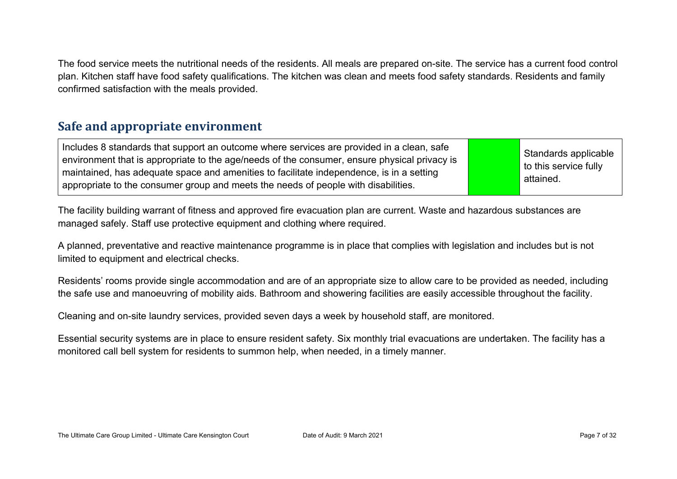The food service meets the nutritional needs of the residents. All meals are prepared on-site. The service has a current food control plan. Kitchen staff have food safety qualifications. The kitchen was clean and meets food safety standards. Residents and family confirmed satisfaction with the meals provided.

#### **Safe and appropriate environment**

Includes 8 standards that support an outcome where services are provided in a clean, safe environment that is appropriate to the age/needs of the consumer, ensure physical privacy is maintained, has adequate space and amenities to facilitate independence, is in a setting appropriate to the consumer group and meets the needs of people with disabilities.

Standards applicable to this service fully attained.

The facility building warrant of fitness and approved fire evacuation plan are current. Waste and hazardous substances are managed safely. Staff use protective equipment and clothing where required.

A planned, preventative and reactive maintenance programme is in place that complies with legislation and includes but is not limited to equipment and electrical checks.

Residents' rooms provide single accommodation and are of an appropriate size to allow care to be provided as needed, including the safe use and manoeuvring of mobility aids. Bathroom and showering facilities are easily accessible throughout the facility.

Cleaning and on-site laundry services, provided seven days a week by household staff, are monitored.

Essential security systems are in place to ensure resident safety. Six monthly trial evacuations are undertaken. The facility has a monitored call bell system for residents to summon help, when needed, in a timely manner.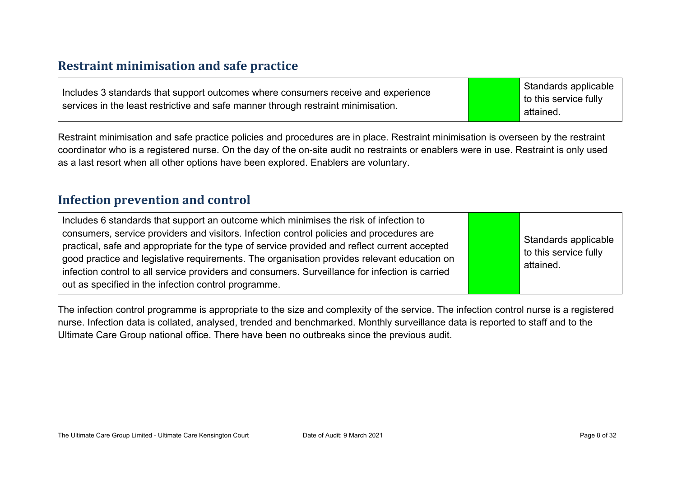#### **Restraint minimisation and safe practice**

| Includes 3 standards that support outcomes where consumers receive and experience | Standards applicable  |
|-----------------------------------------------------------------------------------|-----------------------|
|                                                                                   | to this service fully |
| services in the least restrictive and safe manner through restraint minimisation. | attained.             |

Restraint minimisation and safe practice policies and procedures are in place. Restraint minimisation is overseen by the restraint coordinator who is a registered nurse. On the day of the on-site audit no restraints or enablers were in use. Restraint is only used as a last resort when all other options have been explored. Enablers are voluntary.

#### **Infection prevention and control**

| Includes 6 standards that support an outcome which minimises the risk of infection to<br>consumers, service providers and visitors. Infection control policies and procedures are<br>practical, safe and appropriate for the type of service provided and reflect current accepted<br>good practice and legislative requirements. The organisation provides relevant education on<br>infection control to all service providers and consumers. Surveillance for infection is carried<br>out as specified in the infection control programme. |  | Standards applicable<br>to this service fully<br>attained. |
|----------------------------------------------------------------------------------------------------------------------------------------------------------------------------------------------------------------------------------------------------------------------------------------------------------------------------------------------------------------------------------------------------------------------------------------------------------------------------------------------------------------------------------------------|--|------------------------------------------------------------|
|----------------------------------------------------------------------------------------------------------------------------------------------------------------------------------------------------------------------------------------------------------------------------------------------------------------------------------------------------------------------------------------------------------------------------------------------------------------------------------------------------------------------------------------------|--|------------------------------------------------------------|

The infection control programme is appropriate to the size and complexity of the service. The infection control nurse is a registered nurse. Infection data is collated, analysed, trended and benchmarked. Monthly surveillance data is reported to staff and to the Ultimate Care Group national office. There have been no outbreaks since the previous audit.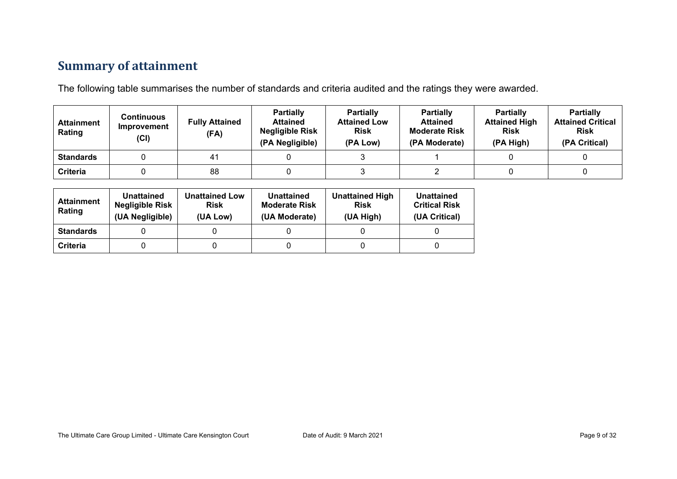#### **Summary of attainment**

The following table summarises the number of standards and criteria audited and the ratings they were awarded.

| <b>Attainment</b><br>Rating | Continuous<br>Improvement<br>(Cl) | <b>Fully Attained</b><br>(FA) | <b>Partially</b><br><b>Attained</b><br><b>Negligible Risk</b><br>(PA Negligible) | <b>Partially</b><br><b>Attained Low</b><br><b>Risk</b><br>(PA Low) | <b>Partially</b><br><b>Attained</b><br><b>Moderate Risk</b><br>(PA Moderate) | <b>Partially</b><br><b>Attained High</b><br><b>Risk</b><br>(PA High) | <b>Partially</b><br><b>Attained Critical</b><br><b>Risk</b><br>(PA Critical) |
|-----------------------------|-----------------------------------|-------------------------------|----------------------------------------------------------------------------------|--------------------------------------------------------------------|------------------------------------------------------------------------------|----------------------------------------------------------------------|------------------------------------------------------------------------------|
| <b>Standards</b>            |                                   | 41                            |                                                                                  |                                                                    |                                                                              |                                                                      |                                                                              |
| <b>Criteria</b>             |                                   | 88                            |                                                                                  |                                                                    |                                                                              |                                                                      |                                                                              |

| <b>Attainment</b><br>Rating | Unattained<br><b>Negligible Risk</b><br>(UA Negligible) | <b>Unattained Low</b><br><b>Risk</b><br>(UA Low) | Unattained<br><b>Moderate Risk</b><br>(UA Moderate) | <b>Unattained High</b><br><b>Risk</b><br>(UA High) | Unattained<br><b>Critical Risk</b><br>(UA Critical) |
|-----------------------------|---------------------------------------------------------|--------------------------------------------------|-----------------------------------------------------|----------------------------------------------------|-----------------------------------------------------|
| <b>Standards</b>            |                                                         |                                                  |                                                     |                                                    |                                                     |
| Criteria                    |                                                         |                                                  |                                                     |                                                    |                                                     |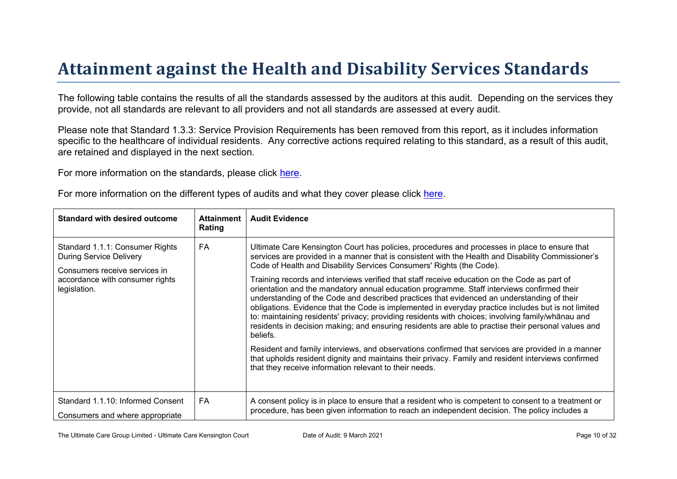# Attainment against the Health and Disability Ser vices Standar ds

The following table contains the results of all the standards assessed by the auditors at this audit. Depending on the services they provide, not all standards are relevant to all providers and not all standards are assessed at every audit.

Please note that Standard 1.3.3: Service Provision Requirements has been removed from this report, as it includes information specific to the healthcare of individual residents. Any corrective actions required relating to this standard, as a result of this audit, are retained and displayed in the next section.

For more information on the standards, please click [here](http://www.health.govt.nz/our-work/regulation-health-and-disability-system/certification-health-care-services/health-and-disability-services-standards).

|  | For more information on the different types of audits and what they cover please click here. |
|--|----------------------------------------------------------------------------------------------|
|  |                                                                                              |

| Standard with desired outcome                                                                                                                         | Attainment<br>Rating | Audit Evidence                                                                                                                                                                                                                                                                                                                                                                                                                                                                                                                                                                                                                                                                                                                                                                                                                                                                                                                                                                                                                                                                                                                                                                               |
|-------------------------------------------------------------------------------------------------------------------------------------------------------|----------------------|----------------------------------------------------------------------------------------------------------------------------------------------------------------------------------------------------------------------------------------------------------------------------------------------------------------------------------------------------------------------------------------------------------------------------------------------------------------------------------------------------------------------------------------------------------------------------------------------------------------------------------------------------------------------------------------------------------------------------------------------------------------------------------------------------------------------------------------------------------------------------------------------------------------------------------------------------------------------------------------------------------------------------------------------------------------------------------------------------------------------------------------------------------------------------------------------|
| Standard 1.1.1: Consumer Rights<br><b>During Service Delivery</b><br>Consumers receive services in<br>accordance with consumer rights<br>legislation. | FA                   | Ultimate Care Kensington Court has policies, procedures and processes in place to ensure that<br>services are provided in a manner that is consistent with the Health and Disability Commissioner's<br>Code of Health and Disability Services Consumers' Rights (the Code).<br>Training records and interviews verified that staff receive education on the Code as part of<br>orientation and the mandatory annual education programme. Staff interviews confirmed their<br>understanding of the Code and described practices that evidenced an understanding of their<br>obligations. Evidence that the Code is implemented in everyday practice includes but is not limited<br>to: maintaining residents' privacy; providing residents with choices; involving<br>$\degree$ > 5 $\degree$<br>and<br>residents in decision making; and ensuring residents are able to practise their personal values and<br>beliefs.<br>Resident and family interviews, and observations confirmed that services are provided in a manner<br>that upholds resident dignity and maintains their privacy. Family and resident interviews confirmed<br>that they receive information relevant to their needs. |
| Standard 1.1.10: Informed Consent<br>Consumers and where appropriate                                                                                  | FA                   | A consent policy is in place to ensure that a resident who is competent to consent to a treatment or<br>procedure, has been given information to reach an independent decision. The policy includes a                                                                                                                                                                                                                                                                                                                                                                                                                                                                                                                                                                                                                                                                                                                                                                                                                                                                                                                                                                                        |

The Ultimate Care Group Limited - Ultimate Care Kensington Court Date of Audit: 9 March 2021 Page 10 of 32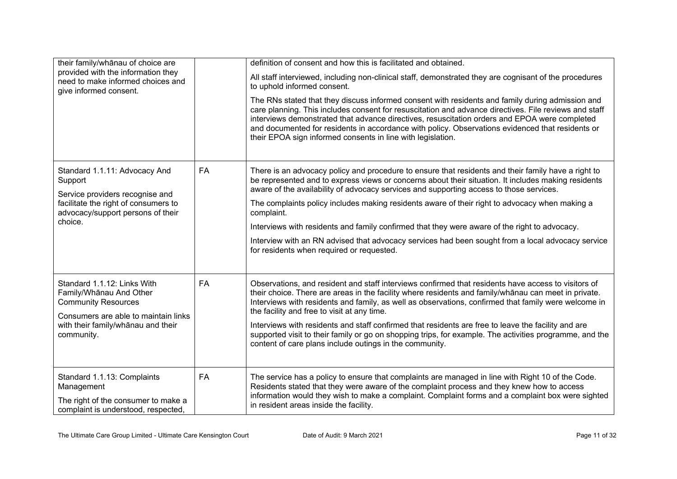| their family/whānau of choice are                                                                                                                                                |           | definition of consent and how this is facilitated and obtained.                                                                                                                                                                                                                                                                                                                                                                                                               |  |  |
|----------------------------------------------------------------------------------------------------------------------------------------------------------------------------------|-----------|-------------------------------------------------------------------------------------------------------------------------------------------------------------------------------------------------------------------------------------------------------------------------------------------------------------------------------------------------------------------------------------------------------------------------------------------------------------------------------|--|--|
| provided with the information they<br>need to make informed choices and<br>give informed consent.                                                                                |           | All staff interviewed, including non-clinical staff, demonstrated they are cognisant of the procedures<br>to uphold informed consent.                                                                                                                                                                                                                                                                                                                                         |  |  |
|                                                                                                                                                                                  |           | The RNs stated that they discuss informed consent with residents and family during admission and<br>care planning. This includes consent for resuscitation and advance directives. File reviews and staff<br>interviews demonstrated that advance directives, resuscitation orders and EPOA were completed<br>and documented for residents in accordance with policy. Observations evidenced that residents or<br>their EPOA sign informed consents in line with legislation. |  |  |
| Standard 1.1.11: Advocacy And<br>Support<br>Service providers recognise and                                                                                                      | FA        | There is an advocacy policy and procedure to ensure that residents and their family have a right to<br>be represented and to express views or concerns about their situation. It includes making residents<br>aware of the availability of advocacy services and supporting access to those services.                                                                                                                                                                         |  |  |
| facilitate the right of consumers to<br>advocacy/support persons of their                                                                                                        |           | The complaints policy includes making residents aware of their right to advocacy when making a<br>complaint.                                                                                                                                                                                                                                                                                                                                                                  |  |  |
| choice.                                                                                                                                                                          |           | Interviews with residents and family confirmed that they were aware of the right to advocacy.                                                                                                                                                                                                                                                                                                                                                                                 |  |  |
|                                                                                                                                                                                  |           | Interview with an RN advised that advocacy services had been sought from a local advocacy service<br>for residents when required or requested.                                                                                                                                                                                                                                                                                                                                |  |  |
| Standard 1.1.12: Links With<br>Family/Whānau And Other<br><b>Community Resources</b><br>Consumers are able to maintain links<br>with their family/whanau and their<br>community. | <b>FA</b> | Observations, and resident and staff interviews confirmed that residents have access to visitors of<br>their choice. There are areas in the facility where residents and family/whanau can meet in private.<br>Interviews with residents and family, as well as observations, confirmed that family were welcome in<br>the facility and free to visit at any time.                                                                                                            |  |  |
|                                                                                                                                                                                  |           | Interviews with residents and staff confirmed that residents are free to leave the facility and are<br>supported visit to their family or go on shopping trips, for example. The activities programme, and the<br>content of care plans include outings in the community.                                                                                                                                                                                                     |  |  |
| Standard 1.1.13: Complaints<br>Management<br>The right of the consumer to make a<br>complaint is understood, respected,                                                          | <b>FA</b> | The service has a policy to ensure that complaints are managed in line with Right 10 of the Code.<br>Residents stated that they were aware of the complaint process and they knew how to access<br>information would they wish to make a complaint. Complaint forms and a complaint box were sighted<br>in resident areas inside the facility.                                                                                                                                |  |  |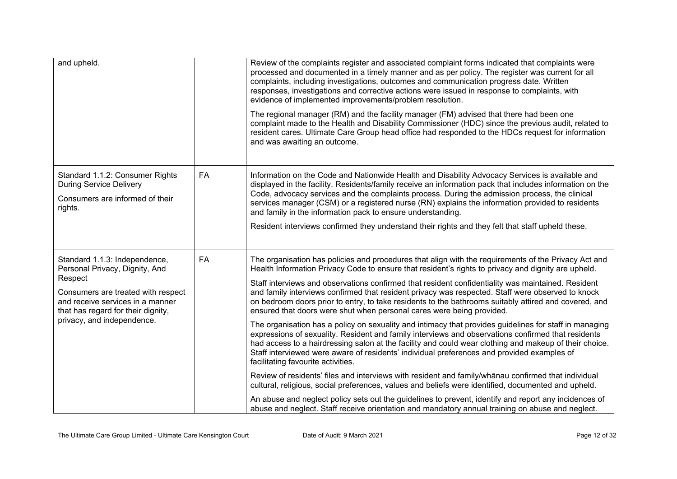| and upheld.                                                                                                                                           |    | Review of the complaints register and associated complaint forms indicated that complaints were<br>processed and documented in a timely manner and as per policy. The register was current for all<br>complaints, including investigations, outcomes and communication progress date. Written<br>responses, investigations and corrective actions were issued in response to complaints, with<br>evidence of implemented improvements/problem resolution.                        |
|-------------------------------------------------------------------------------------------------------------------------------------------------------|----|----------------------------------------------------------------------------------------------------------------------------------------------------------------------------------------------------------------------------------------------------------------------------------------------------------------------------------------------------------------------------------------------------------------------------------------------------------------------------------|
|                                                                                                                                                       |    | The regional manager (RM) and the facility manager (FM) advised that there had been one<br>complaint made to the Health and Disability Commissioner (HDC) since the previous audit, related to<br>resident cares. Ultimate Care Group head office had responded to the HDCs request for information<br>and was awaiting an outcome.                                                                                                                                              |
| Standard 1.1.2: Consumer Rights<br><b>During Service Delivery</b><br>Consumers are informed of their<br>rights.                                       | FA | Information on the Code and Nationwide Health and Disability Advocacy Services is available and<br>displayed in the facility. Residents/family receive an information pack that includes information on the<br>Code, advocacy services and the complaints process. During the admission process, the clinical<br>services manager (CSM) or a registered nurse (RN) explains the information provided to residents<br>and family in the information pack to ensure understanding. |
|                                                                                                                                                       |    | Resident interviews confirmed they understand their rights and they felt that staff upheld these.                                                                                                                                                                                                                                                                                                                                                                                |
| Standard 1.1.3: Independence,<br>Personal Privacy, Dignity, And                                                                                       | FA | The organisation has policies and procedures that align with the requirements of the Privacy Act and<br>Health Information Privacy Code to ensure that resident's rights to privacy and dignity are upheld.                                                                                                                                                                                                                                                                      |
| Respect<br>Consumers are treated with respect<br>and receive services in a manner<br>that has regard for their dignity,<br>privacy, and independence. |    | Staff interviews and observations confirmed that resident confidentiality was maintained. Resident<br>and family interviews confirmed that resident privacy was respected. Staff were observed to knock<br>on bedroom doors prior to entry, to take residents to the bathrooms suitably attired and covered, and<br>ensured that doors were shut when personal cares were being provided.                                                                                        |
|                                                                                                                                                       |    | The organisation has a policy on sexuality and intimacy that provides guidelines for staff in managing<br>expressions of sexuality. Resident and family interviews and observations confirmed that residents<br>had access to a hairdressing salon at the facility and could wear clothing and makeup of their choice.<br>Staff interviewed were aware of residents' individual preferences and provided examples of<br>facilitating favourite activities.                       |
|                                                                                                                                                       |    | Review of residents' files and interviews with resident and family/whanau confirmed that individual<br>cultural, religious, social preferences, values and beliefs were identified, documented and upheld.                                                                                                                                                                                                                                                                       |
|                                                                                                                                                       |    | An abuse and neglect policy sets out the guidelines to prevent, identify and report any incidences of<br>abuse and neglect. Staff receive orientation and mandatory annual training on abuse and neglect.                                                                                                                                                                                                                                                                        |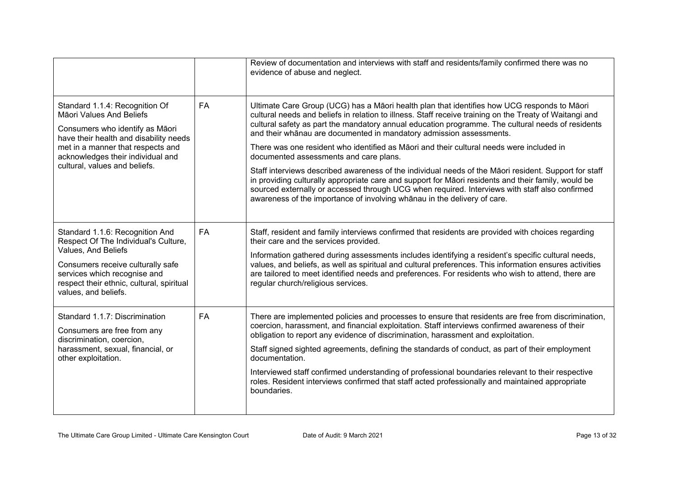|                                                                                                                                                                                                                                                    |           | Review of documentation and interviews with staff and residents/family confirmed there was no<br>evidence of abuse and neglect.                                                                                                                                                                                                                                                                                                                                                                                                                                                                                                                                                                                                                                                                                                                                                                                        |
|----------------------------------------------------------------------------------------------------------------------------------------------------------------------------------------------------------------------------------------------------|-----------|------------------------------------------------------------------------------------------------------------------------------------------------------------------------------------------------------------------------------------------------------------------------------------------------------------------------------------------------------------------------------------------------------------------------------------------------------------------------------------------------------------------------------------------------------------------------------------------------------------------------------------------------------------------------------------------------------------------------------------------------------------------------------------------------------------------------------------------------------------------------------------------------------------------------|
| Standard 1.1.4: Recognition Of<br>Māori Values And Beliefs<br>Consumers who identify as Māori<br>have their health and disability needs<br>met in a manner that respects and<br>acknowledges their individual and<br>cultural, values and beliefs. | <b>FA</b> | Ultimate Care Group (UCG) has a Māori health plan that identifies how UCG responds to Māori<br>cultural needs and beliefs in relation to illness. Staff receive training on the Treaty of Waitangi and<br>cultural safety as part the mandatory annual education programme. The cultural needs of residents<br>and their whānau are documented in mandatory admission assessments.<br>There was one resident who identified as Māori and their cultural needs were included in<br>documented assessments and care plans.<br>Staff interviews described awareness of the individual needs of the Māori resident. Support for staff<br>in providing culturally appropriate care and support for Māori residents and their family, would be<br>sourced externally or accessed through UCG when required. Interviews with staff also confirmed<br>awareness of the importance of involving whanau in the delivery of care. |
| Standard 1.1.6: Recognition And<br>Respect Of The Individual's Culture,<br>Values, And Beliefs<br>Consumers receive culturally safe<br>services which recognise and<br>respect their ethnic, cultural, spiritual<br>values, and beliefs.           | FA        | Staff, resident and family interviews confirmed that residents are provided with choices regarding<br>their care and the services provided.<br>Information gathered during assessments includes identifying a resident's specific cultural needs,<br>values, and beliefs, as well as spiritual and cultural preferences. This information ensures activities<br>are tailored to meet identified needs and preferences. For residents who wish to attend, there are<br>regular church/religious services.                                                                                                                                                                                                                                                                                                                                                                                                               |
| Standard 1.1.7: Discrimination<br>Consumers are free from any<br>discrimination, coercion,<br>harassment, sexual, financial, or<br>other exploitation.                                                                                             | <b>FA</b> | There are implemented policies and processes to ensure that residents are free from discrimination,<br>coercion, harassment, and financial exploitation. Staff interviews confirmed awareness of their<br>obligation to report any evidence of discrimination, harassment and exploitation.<br>Staff signed sighted agreements, defining the standards of conduct, as part of their employment<br>documentation.<br>Interviewed staff confirmed understanding of professional boundaries relevant to their respective<br>roles. Resident interviews confirmed that staff acted professionally and maintained appropriate<br>boundaries.                                                                                                                                                                                                                                                                                |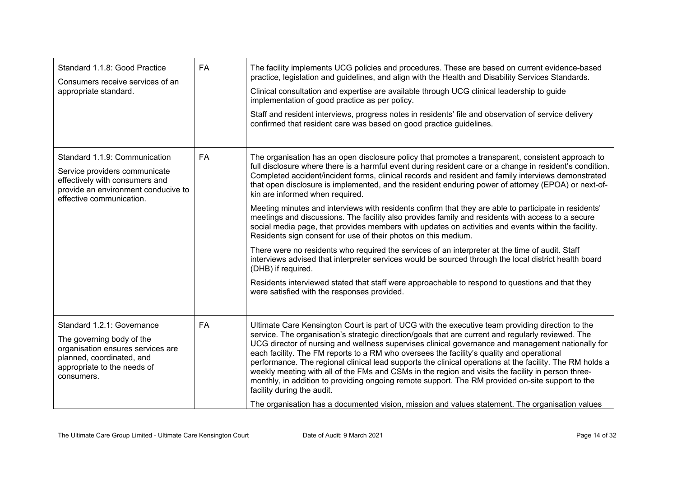| Standard 1.1.8: Good Practice<br>Consumers receive services of an<br>appropriate standard.                                                                             | FA | The facility implements UCG policies and procedures. These are based on current evidence-based<br>practice, legislation and guidelines, and align with the Health and Disability Services Standards.<br>Clinical consultation and expertise are available through UCG clinical leadership to guide<br>implementation of good practice as per policy.<br>Staff and resident interviews, progress notes in residents' file and observation of service delivery<br>confirmed that resident care was based on good practice guidelines.                                                                                                                                                                                                                                                                                                                                                                                                                                                                                                                                                                                                                                                                                                        |
|------------------------------------------------------------------------------------------------------------------------------------------------------------------------|----|--------------------------------------------------------------------------------------------------------------------------------------------------------------------------------------------------------------------------------------------------------------------------------------------------------------------------------------------------------------------------------------------------------------------------------------------------------------------------------------------------------------------------------------------------------------------------------------------------------------------------------------------------------------------------------------------------------------------------------------------------------------------------------------------------------------------------------------------------------------------------------------------------------------------------------------------------------------------------------------------------------------------------------------------------------------------------------------------------------------------------------------------------------------------------------------------------------------------------------------------|
| Standard 1.1.9: Communication<br>Service providers communicate<br>effectively with consumers and<br>provide an environment conducive to<br>effective communication.    | FA | The organisation has an open disclosure policy that promotes a transparent, consistent approach to<br>full disclosure where there is a harmful event during resident care or a change in resident's condition.<br>Completed accident/incident forms, clinical records and resident and family interviews demonstrated<br>that open disclosure is implemented, and the resident enduring power of attorney (EPOA) or next-of-<br>kin are informed when required.<br>Meeting minutes and interviews with residents confirm that they are able to participate in residents'<br>meetings and discussions. The facility also provides family and residents with access to a secure<br>social media page, that provides members with updates on activities and events within the facility.<br>Residents sign consent for use of their photos on this medium.<br>There were no residents who required the services of an interpreter at the time of audit. Staff<br>interviews advised that interpreter services would be sourced through the local district health board<br>(DHB) if required.<br>Residents interviewed stated that staff were approachable to respond to questions and that they<br>were satisfied with the responses provided. |
| Standard 1.2.1: Governance<br>The governing body of the<br>organisation ensures services are<br>planned, coordinated, and<br>appropriate to the needs of<br>consumers. | FA | Ultimate Care Kensington Court is part of UCG with the executive team providing direction to the<br>service. The organisation's strategic direction/goals that are current and regularly reviewed. The<br>UCG director of nursing and wellness supervises clinical governance and management nationally for<br>each facility. The FM reports to a RM who oversees the facility's quality and operational<br>performance. The regional clinical lead supports the clinical operations at the facility. The RM holds a<br>weekly meeting with all of the FMs and CSMs in the region and visits the facility in person three-<br>monthly, in addition to providing ongoing remote support. The RM provided on-site support to the<br>facility during the audit.<br>The organisation has a documented vision, mission and values statement. The organisation values                                                                                                                                                                                                                                                                                                                                                                            |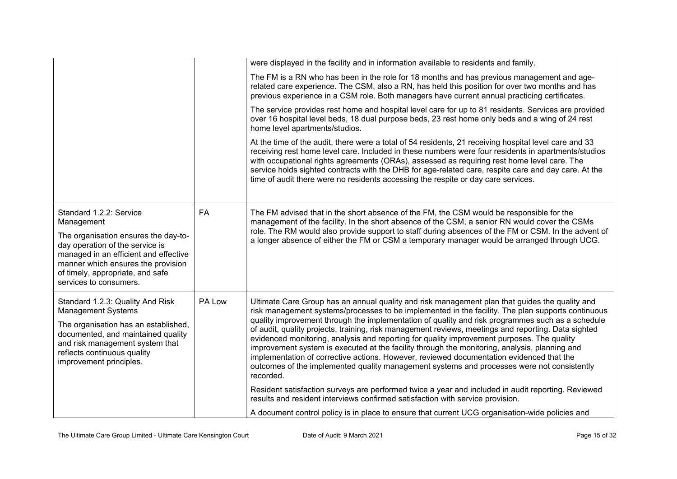|                                                                                                                                                                                                                                          |        | were displayed in the facility and in information available to residents and family.                                                                                                                                                                                                                                                                                                                                                                                                                                                                                                                                                                                                                                                                                                                                 |
|------------------------------------------------------------------------------------------------------------------------------------------------------------------------------------------------------------------------------------------|--------|----------------------------------------------------------------------------------------------------------------------------------------------------------------------------------------------------------------------------------------------------------------------------------------------------------------------------------------------------------------------------------------------------------------------------------------------------------------------------------------------------------------------------------------------------------------------------------------------------------------------------------------------------------------------------------------------------------------------------------------------------------------------------------------------------------------------|
|                                                                                                                                                                                                                                          |        | The FM is a RN who has been in the role for 18 months and has previous management and age-<br>related care experience. The CSM, also a RN, has held this position for over two months and has<br>previous experience in a CSM role. Both managers have current annual practicing certificates.                                                                                                                                                                                                                                                                                                                                                                                                                                                                                                                       |
|                                                                                                                                                                                                                                          |        | The service provides rest home and hospital level care for up to 81 residents. Services are provided<br>over 16 hospital level beds, 18 dual purpose beds, 23 rest home only beds and a wing of 24 rest<br>home level apartments/studios.                                                                                                                                                                                                                                                                                                                                                                                                                                                                                                                                                                            |
|                                                                                                                                                                                                                                          |        | At the time of the audit, there were a total of 54 residents, 21 receiving hospital level care and 33<br>receiving rest home level care. Included in these numbers were four residents in apartments/studios<br>with occupational rights agreements (ORAs), assessed as requiring rest home level care. The<br>service holds sighted contracts with the DHB for age-related care, respite care and day care. At the<br>time of audit there were no residents accessing the respite or day care services.                                                                                                                                                                                                                                                                                                             |
| Standard 1.2.2: Service<br>Management<br>The organisation ensures the day-to-<br>day operation of the service is<br>managed in an efficient and effective<br>manner which ensures the provision<br>of timely, appropriate, and safe      | FA     | The FM advised that in the short absence of the FM, the CSM would be responsible for the<br>management of the facility. In the short absence of the CSM, a senior RN would cover the CSMs<br>role. The RM would also provide support to staff during absences of the FM or CSM. In the advent of<br>a longer absence of either the FM or CSM a temporary manager would be arranged through UCG.                                                                                                                                                                                                                                                                                                                                                                                                                      |
| services to consumers.                                                                                                                                                                                                                   |        |                                                                                                                                                                                                                                                                                                                                                                                                                                                                                                                                                                                                                                                                                                                                                                                                                      |
| Standard 1.2.3: Quality And Risk<br><b>Management Systems</b><br>The organisation has an established,<br>documented, and maintained quality<br>and risk management system that<br>reflects continuous quality<br>improvement principles. | PA Low | Ultimate Care Group has an annual quality and risk management plan that guides the quality and<br>risk management systems/processes to be implemented in the facility. The plan supports continuous<br>quality improvement through the implementation of quality and risk programmes such as a schedule<br>of audit, quality projects, training, risk management reviews, meetings and reporting. Data sighted<br>evidenced monitoring, analysis and reporting for quality improvement purposes. The quality<br>improvement system is executed at the facility through the monitoring, analysis, planning and<br>implementation of corrective actions. However, reviewed documentation evidenced that the<br>outcomes of the implemented quality management systems and processes were not consistently<br>recorded. |
|                                                                                                                                                                                                                                          |        | Resident satisfaction surveys are performed twice a year and included in audit reporting. Reviewed<br>results and resident interviews confirmed satisfaction with service provision.                                                                                                                                                                                                                                                                                                                                                                                                                                                                                                                                                                                                                                 |
|                                                                                                                                                                                                                                          |        | A document control policy is in place to ensure that current UCG organisation-wide policies and                                                                                                                                                                                                                                                                                                                                                                                                                                                                                                                                                                                                                                                                                                                      |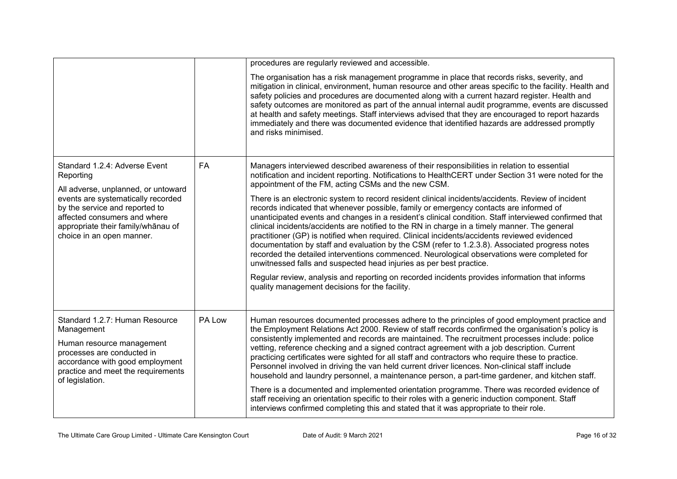|                                                                                                                                                                                                     |        | procedures are regularly reviewed and accessible.                                                                                                                                                                                                                                                                                                                                                                                                                                                                                                                                                                                                                                                                                                                             |
|-----------------------------------------------------------------------------------------------------------------------------------------------------------------------------------------------------|--------|-------------------------------------------------------------------------------------------------------------------------------------------------------------------------------------------------------------------------------------------------------------------------------------------------------------------------------------------------------------------------------------------------------------------------------------------------------------------------------------------------------------------------------------------------------------------------------------------------------------------------------------------------------------------------------------------------------------------------------------------------------------------------------|
|                                                                                                                                                                                                     |        | The organisation has a risk management programme in place that records risks, severity, and<br>mitigation in clinical, environment, human resource and other areas specific to the facility. Health and<br>safety policies and procedures are documented along with a current hazard register. Health and<br>safety outcomes are monitored as part of the annual internal audit programme, events are discussed<br>at health and safety meetings. Staff interviews advised that they are encouraged to report hazards<br>immediately and there was documented evidence that identified hazards are addressed promptly<br>and risks minimised.                                                                                                                                 |
| Standard 1.2.4: Adverse Event<br>Reporting<br>All adverse, unplanned, or untoward                                                                                                                   | FA     | Managers interviewed described awareness of their responsibilities in relation to essential<br>notification and incident reporting. Notifications to HealthCERT under Section 31 were noted for the<br>appointment of the FM, acting CSMs and the new CSM.                                                                                                                                                                                                                                                                                                                                                                                                                                                                                                                    |
| events are systematically recorded<br>by the service and reported to<br>affected consumers and where<br>appropriate their family/whānau of<br>choice in an open manner.                             |        | There is an electronic system to record resident clinical incidents/accidents. Review of incident<br>records indicated that whenever possible, family or emergency contacts are informed of<br>unanticipated events and changes in a resident's clinical condition. Staff interviewed confirmed that<br>clinical incidents/accidents are notified to the RN in charge in a timely manner. The general<br>practitioner (GP) is notified when required. Clinical incidents/accidents reviewed evidenced<br>documentation by staff and evaluation by the CSM (refer to 1.2.3.8). Associated progress notes<br>recorded the detailed interventions commenced. Neurological observations were completed for<br>unwitnessed falls and suspected head injuries as per best practice. |
|                                                                                                                                                                                                     |        | Regular review, analysis and reporting on recorded incidents provides information that informs<br>quality management decisions for the facility.                                                                                                                                                                                                                                                                                                                                                                                                                                                                                                                                                                                                                              |
| Standard 1.2.7: Human Resource<br>Management<br>Human resource management<br>processes are conducted in<br>accordance with good employment<br>practice and meet the requirements<br>of legislation. | PA Low | Human resources documented processes adhere to the principles of good employment practice and<br>the Employment Relations Act 2000. Review of staff records confirmed the organisation's policy is<br>consistently implemented and records are maintained. The recruitment processes include: police<br>vetting, reference checking and a signed contract agreement with a job description. Current<br>practicing certificates were sighted for all staff and contractors who require these to practice.<br>Personnel involved in driving the van held current driver licences. Non-clinical staff include<br>household and laundry personnel, a maintenance person, a part-time gardener, and kitchen staff.                                                                 |
|                                                                                                                                                                                                     |        | There is a documented and implemented orientation programme. There was recorded evidence of<br>staff receiving an orientation specific to their roles with a generic induction component. Staff<br>interviews confirmed completing this and stated that it was appropriate to their role.                                                                                                                                                                                                                                                                                                                                                                                                                                                                                     |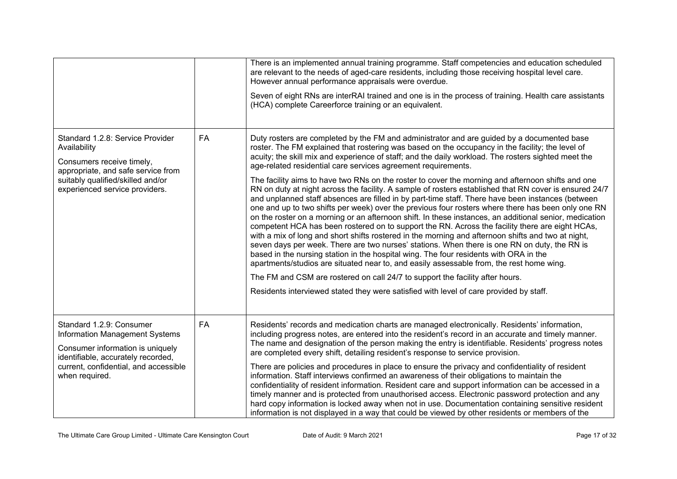|                                                                                                                                                                                                        |           | There is an implemented annual training programme. Staff competencies and education scheduled<br>are relevant to the needs of aged-care residents, including those receiving hospital level care.<br>However annual performance appraisals were overdue.                                                                                                                                                                                                                                                                                                                                                                                                                                                                                                                                                                                                                                                                                                                                                                                                                                                                                                                                                                                                                                                                                                                                                                                                                                                                                                                            |
|--------------------------------------------------------------------------------------------------------------------------------------------------------------------------------------------------------|-----------|-------------------------------------------------------------------------------------------------------------------------------------------------------------------------------------------------------------------------------------------------------------------------------------------------------------------------------------------------------------------------------------------------------------------------------------------------------------------------------------------------------------------------------------------------------------------------------------------------------------------------------------------------------------------------------------------------------------------------------------------------------------------------------------------------------------------------------------------------------------------------------------------------------------------------------------------------------------------------------------------------------------------------------------------------------------------------------------------------------------------------------------------------------------------------------------------------------------------------------------------------------------------------------------------------------------------------------------------------------------------------------------------------------------------------------------------------------------------------------------------------------------------------------------------------------------------------------------|
|                                                                                                                                                                                                        |           | Seven of eight RNs are interRAI trained and one is in the process of training. Health care assistants<br>(HCA) complete Careerforce training or an equivalent.                                                                                                                                                                                                                                                                                                                                                                                                                                                                                                                                                                                                                                                                                                                                                                                                                                                                                                                                                                                                                                                                                                                                                                                                                                                                                                                                                                                                                      |
| Standard 1.2.8: Service Provider<br>Availability<br>Consumers receive timely,<br>appropriate, and safe service from<br>suitably qualified/skilled and/or<br>experienced service providers.             | <b>FA</b> | Duty rosters are completed by the FM and administrator and are guided by a documented base<br>roster. The FM explained that rostering was based on the occupancy in the facility; the level of<br>acuity; the skill mix and experience of staff; and the daily workload. The rosters sighted meet the<br>age-related residential care services agreement requirements.<br>The facility aims to have two RNs on the roster to cover the morning and afternoon shifts and one<br>RN on duty at night across the facility. A sample of rosters established that RN cover is ensured 24/7<br>and unplanned staff absences are filled in by part-time staff. There have been instances (between<br>one and up to two shifts per week) over the previous four rosters where there has been only one RN<br>on the roster on a morning or an afternoon shift. In these instances, an additional senior, medication<br>competent HCA has been rostered on to support the RN. Across the facility there are eight HCAs,<br>with a mix of long and short shifts rostered in the morning and afternoon shifts and two at night,<br>seven days per week. There are two nurses' stations. When there is one RN on duty, the RN is<br>based in the nursing station in the hospital wing. The four residents with ORA in the<br>apartments/studios are situated near to, and easily assessable from, the rest home wing.<br>The FM and CSM are rostered on call 24/7 to support the facility after hours.<br>Residents interviewed stated they were satisfied with level of care provided by staff. |
| Standard 1.2.9: Consumer<br><b>Information Management Systems</b><br>Consumer information is uniquely<br>identifiable, accurately recorded,<br>current, confidential, and accessible<br>when required. | FA        | Residents' records and medication charts are managed electronically. Residents' information,<br>including progress notes, are entered into the resident's record in an accurate and timely manner.<br>The name and designation of the person making the entry is identifiable. Residents' progress notes<br>are completed every shift, detailing resident's response to service provision.<br>There are policies and procedures in place to ensure the privacy and confidentiality of resident<br>information. Staff interviews confirmed an awareness of their obligations to maintain the<br>confidentiality of resident information. Resident care and support information can be accessed in a<br>timely manner and is protected from unauthorised access. Electronic password protection and any<br>hard copy information is locked away when not in use. Documentation containing sensitive resident<br>information is not displayed in a way that could be viewed by other residents or members of the                                                                                                                                                                                                                                                                                                                                                                                                                                                                                                                                                                       |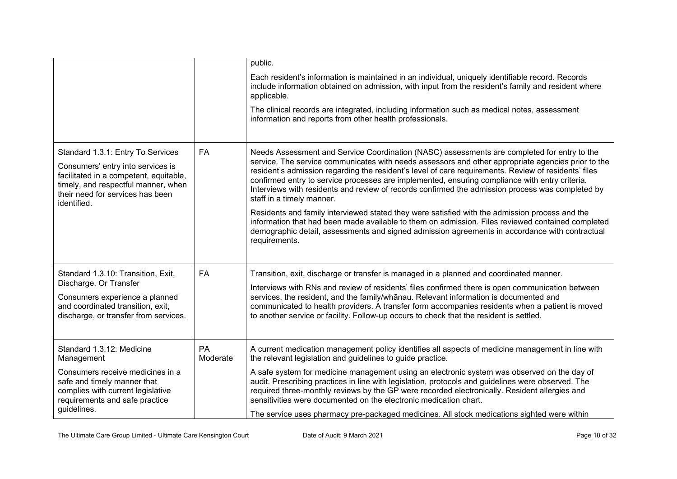|                                                                                                                                                                                                            |                | public.                                                                                                                                                                                                                                                                                                                                                                                                                                                                                                                                      |
|------------------------------------------------------------------------------------------------------------------------------------------------------------------------------------------------------------|----------------|----------------------------------------------------------------------------------------------------------------------------------------------------------------------------------------------------------------------------------------------------------------------------------------------------------------------------------------------------------------------------------------------------------------------------------------------------------------------------------------------------------------------------------------------|
|                                                                                                                                                                                                            |                | Each resident's information is maintained in an individual, uniquely identifiable record. Records<br>include information obtained on admission, with input from the resident's family and resident where<br>applicable.                                                                                                                                                                                                                                                                                                                      |
|                                                                                                                                                                                                            |                | The clinical records are integrated, including information such as medical notes, assessment<br>information and reports from other health professionals.                                                                                                                                                                                                                                                                                                                                                                                     |
| Standard 1.3.1: Entry To Services<br>Consumers' entry into services is<br>facilitated in a competent, equitable,<br>timely, and respectful manner, when<br>their need for services has been<br>identified. | <b>FA</b>      | Needs Assessment and Service Coordination (NASC) assessments are completed for entry to the<br>service. The service communicates with needs assessors and other appropriate agencies prior to the<br>resident's admission regarding the resident's level of care requirements. Review of residents' files<br>confirmed entry to service processes are implemented, ensuring compliance with entry criteria.<br>Interviews with residents and review of records confirmed the admission process was completed by<br>staff in a timely manner. |
|                                                                                                                                                                                                            |                | Residents and family interviewed stated they were satisfied with the admission process and the<br>information that had been made available to them on admission. Files reviewed contained completed<br>demographic detail, assessments and signed admission agreements in accordance with contractual<br>requirements.                                                                                                                                                                                                                       |
| Standard 1.3.10: Transition, Exit,                                                                                                                                                                         | <b>FA</b>      | Transition, exit, discharge or transfer is managed in a planned and coordinated manner.                                                                                                                                                                                                                                                                                                                                                                                                                                                      |
| Discharge, Or Transfer<br>Consumers experience a planned                                                                                                                                                   |                | Interviews with RNs and review of residents' files confirmed there is open communication between<br>services, the resident, and the family/whanau. Relevant information is documented and                                                                                                                                                                                                                                                                                                                                                    |
| and coordinated transition, exit,<br>discharge, or transfer from services.                                                                                                                                 |                | communicated to health providers. A transfer form accompanies residents when a patient is moved<br>to another service or facility. Follow-up occurs to check that the resident is settled.                                                                                                                                                                                                                                                                                                                                                   |
| Standard 1.3.12: Medicine<br>Management                                                                                                                                                                    | PA<br>Moderate | A current medication management policy identifies all aspects of medicine management in line with<br>the relevant legislation and guidelines to guide practice.                                                                                                                                                                                                                                                                                                                                                                              |
| Consumers receive medicines in a<br>safe and timely manner that<br>complies with current legislative<br>requirements and safe practice<br>guidelines.                                                      |                | A safe system for medicine management using an electronic system was observed on the day of<br>audit. Prescribing practices in line with legislation, protocols and guidelines were observed. The<br>required three-monthly reviews by the GP were recorded electronically. Resident allergies and<br>sensitivities were documented on the electronic medication chart.                                                                                                                                                                      |
|                                                                                                                                                                                                            |                | The service uses pharmacy pre-packaged medicines. All stock medications sighted were within                                                                                                                                                                                                                                                                                                                                                                                                                                                  |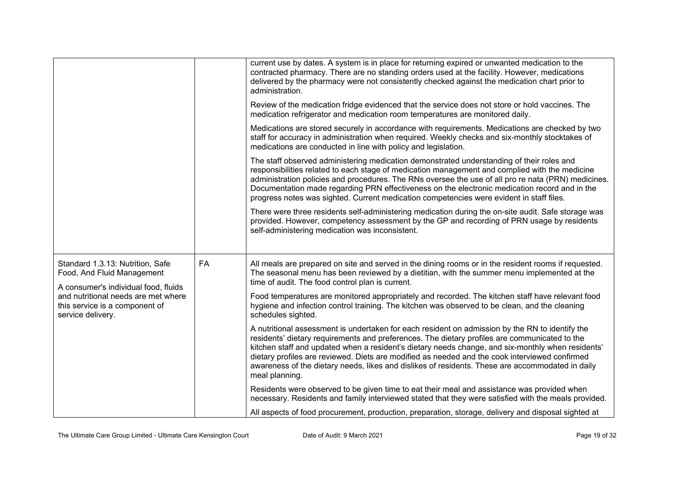|                                                                                                                                                                                                      |    | current use by dates. A system is in place for returning expired or unwanted medication to the<br>contracted pharmacy. There are no standing orders used at the facility. However, medications<br>delivered by the pharmacy were not consistently checked against the medication chart prior to<br>administration.                                                                                                                                                                                                            |
|------------------------------------------------------------------------------------------------------------------------------------------------------------------------------------------------------|----|-------------------------------------------------------------------------------------------------------------------------------------------------------------------------------------------------------------------------------------------------------------------------------------------------------------------------------------------------------------------------------------------------------------------------------------------------------------------------------------------------------------------------------|
|                                                                                                                                                                                                      |    | Review of the medication fridge evidenced that the service does not store or hold vaccines. The<br>medication refrigerator and medication room temperatures are monitored daily.                                                                                                                                                                                                                                                                                                                                              |
|                                                                                                                                                                                                      |    | Medications are stored securely in accordance with requirements. Medications are checked by two<br>staff for accuracy in administration when required. Weekly checks and six-monthly stocktakes of<br>medications are conducted in line with policy and legislation.                                                                                                                                                                                                                                                          |
|                                                                                                                                                                                                      |    | The staff observed administering medication demonstrated understanding of their roles and<br>responsibilities related to each stage of medication management and complied with the medicine<br>administration policies and procedures. The RNs oversee the use of all pro re nata (PRN) medicines.<br>Documentation made regarding PRN effectiveness on the electronic medication record and in the<br>progress notes was sighted. Current medication competencies were evident in staff files.                               |
|                                                                                                                                                                                                      |    | There were three residents self-administering medication during the on-site audit. Safe storage was<br>provided. However, competency assessment by the GP and recording of PRN usage by residents<br>self-administering medication was inconsistent.                                                                                                                                                                                                                                                                          |
| Standard 1.3.13: Nutrition, Safe<br>Food, And Fluid Management<br>A consumer's individual food, fluids<br>and nutritional needs are met where<br>this service is a component of<br>service delivery. | FA | All meals are prepared on site and served in the dining rooms or in the resident rooms if requested.<br>The seasonal menu has been reviewed by a dietitian, with the summer menu implemented at the<br>time of audit. The food control plan is current.                                                                                                                                                                                                                                                                       |
|                                                                                                                                                                                                      |    | Food temperatures are monitored appropriately and recorded. The kitchen staff have relevant food<br>hygiene and infection control training. The kitchen was observed to be clean, and the cleaning<br>schedules sighted.                                                                                                                                                                                                                                                                                                      |
|                                                                                                                                                                                                      |    | A nutritional assessment is undertaken for each resident on admission by the RN to identify the<br>residents' dietary requirements and preferences. The dietary profiles are communicated to the<br>kitchen staff and updated when a resident's dietary needs change, and six-monthly when residents'<br>dietary profiles are reviewed. Diets are modified as needed and the cook interviewed confirmed<br>awareness of the dietary needs, likes and dislikes of residents. These are accommodated in daily<br>meal planning. |
|                                                                                                                                                                                                      |    | Residents were observed to be given time to eat their meal and assistance was provided when<br>necessary. Residents and family interviewed stated that they were satisfied with the meals provided.                                                                                                                                                                                                                                                                                                                           |
|                                                                                                                                                                                                      |    | All aspects of food procurement, production, preparation, storage, delivery and disposal sighted at                                                                                                                                                                                                                                                                                                                                                                                                                           |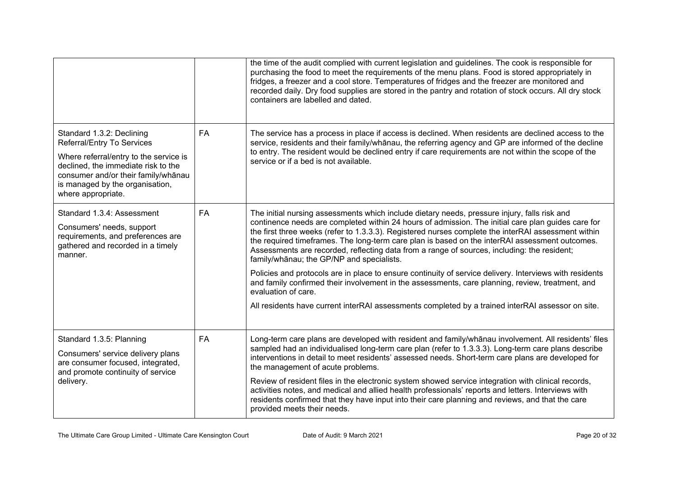|                                                                                                                                                                                                                                          |    | the time of the audit complied with current legislation and guidelines. The cook is responsible for<br>purchasing the food to meet the requirements of the menu plans. Food is stored appropriately in<br>fridges, a freezer and a cool store. Temperatures of fridges and the freezer are monitored and<br>recorded daily. Dry food supplies are stored in the pantry and rotation of stock occurs. All dry stock<br>containers are labelled and dated.                                                                                                                                                                                                                                                                                                                                                                                                                                           |
|------------------------------------------------------------------------------------------------------------------------------------------------------------------------------------------------------------------------------------------|----|----------------------------------------------------------------------------------------------------------------------------------------------------------------------------------------------------------------------------------------------------------------------------------------------------------------------------------------------------------------------------------------------------------------------------------------------------------------------------------------------------------------------------------------------------------------------------------------------------------------------------------------------------------------------------------------------------------------------------------------------------------------------------------------------------------------------------------------------------------------------------------------------------|
| Standard 1.3.2: Declining<br>Referral/Entry To Services<br>Where referral/entry to the service is<br>declined, the immediate risk to the<br>consumer and/or their family/whānau<br>is managed by the organisation,<br>where appropriate. | FA | The service has a process in place if access is declined. When residents are declined access to the<br>service, residents and their family/whanau, the referring agency and GP are informed of the decline<br>to entry. The resident would be declined entry if care requirements are not within the scope of the<br>service or if a bed is not available.                                                                                                                                                                                                                                                                                                                                                                                                                                                                                                                                         |
| Standard 1.3.4: Assessment<br>Consumers' needs, support<br>requirements, and preferences are<br>gathered and recorded in a timely<br>manner.                                                                                             | FA | The initial nursing assessments which include dietary needs, pressure injury, falls risk and<br>continence needs are completed within 24 hours of admission. The initial care plan guides care for<br>the first three weeks (refer to 1.3.3.3). Registered nurses complete the interRAI assessment within<br>the required timeframes. The long-term care plan is based on the interRAI assessment outcomes.<br>Assessments are recorded, reflecting data from a range of sources, including: the resident;<br>family/whanau; the GP/NP and specialists.<br>Policies and protocols are in place to ensure continuity of service delivery. Interviews with residents<br>and family confirmed their involvement in the assessments, care planning, review, treatment, and<br>evaluation of care.<br>All residents have current interRAI assessments completed by a trained interRAI assessor on site. |
| Standard 1.3.5: Planning<br>Consumers' service delivery plans<br>are consumer focused, integrated,<br>and promote continuity of service<br>delivery.                                                                                     | FA | Long-term care plans are developed with resident and family/whanau involvement. All residents' files<br>sampled had an individualised long-term care plan (refer to 1.3.3.3). Long-term care plans describe<br>interventions in detail to meet residents' assessed needs. Short-term care plans are developed for<br>the management of acute problems.<br>Review of resident files in the electronic system showed service integration with clinical records,<br>activities notes, and medical and allied health professionals' reports and letters. Interviews with<br>residents confirmed that they have input into their care planning and reviews, and that the care<br>provided meets their needs.                                                                                                                                                                                            |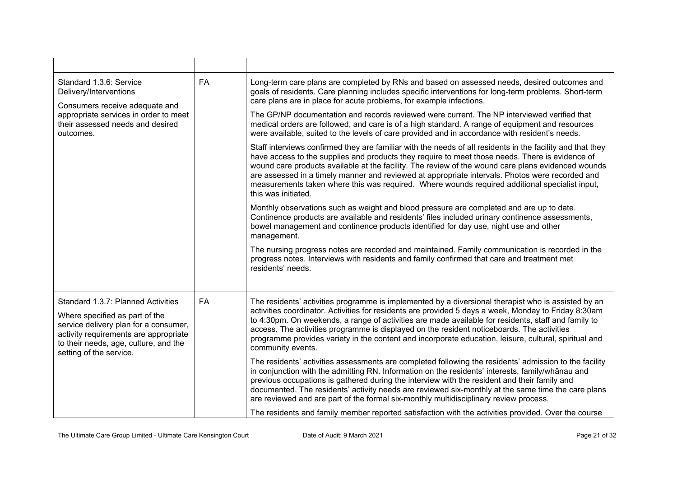| Standard 1.3.6: Service<br>Delivery/Interventions<br>Consumers receive adequate and                                                                                                  | FA        | Long-term care plans are completed by RNs and based on assessed needs, desired outcomes and<br>goals of residents. Care planning includes specific interventions for long-term problems. Short-term<br>care plans are in place for acute problems, for example infections.                                                                                                                                                                                                                                                                      |
|--------------------------------------------------------------------------------------------------------------------------------------------------------------------------------------|-----------|-------------------------------------------------------------------------------------------------------------------------------------------------------------------------------------------------------------------------------------------------------------------------------------------------------------------------------------------------------------------------------------------------------------------------------------------------------------------------------------------------------------------------------------------------|
| appropriate services in order to meet<br>their assessed needs and desired<br>outcomes.                                                                                               |           | The GP/NP documentation and records reviewed were current. The NP interviewed verified that<br>medical orders are followed, and care is of a high standard. A range of equipment and resources<br>were available, suited to the levels of care provided and in accordance with resident's needs.                                                                                                                                                                                                                                                |
|                                                                                                                                                                                      |           | Staff interviews confirmed they are familiar with the needs of all residents in the facility and that they<br>have access to the supplies and products they require to meet those needs. There is evidence of<br>wound care products available at the facility. The review of the wound care plans evidenced wounds<br>are assessed in a timely manner and reviewed at appropriate intervals. Photos were recorded and<br>measurements taken where this was required. Where wounds required additional specialist input,<br>this was initiated. |
|                                                                                                                                                                                      |           | Monthly observations such as weight and blood pressure are completed and are up to date.<br>Continence products are available and residents' files included urinary continence assessments,<br>bowel management and continence products identified for day use, night use and other<br>management.                                                                                                                                                                                                                                              |
|                                                                                                                                                                                      |           | The nursing progress notes are recorded and maintained. Family communication is recorded in the<br>progress notes. Interviews with residents and family confirmed that care and treatment met<br>residents' needs.                                                                                                                                                                                                                                                                                                                              |
| Standard 1.3.7: Planned Activities                                                                                                                                                   | <b>FA</b> | The residents' activities programme is implemented by a diversional therapist who is assisted by an                                                                                                                                                                                                                                                                                                                                                                                                                                             |
| Where specified as part of the<br>service delivery plan for a consumer,<br>activity requirements are appropriate<br>to their needs, age, culture, and the<br>setting of the service. |           | activities coordinator. Activities for residents are provided 5 days a week, Monday to Friday 8:30am<br>to 4:30pm. On weekends, a range of activities are made available for residents, staff and family to<br>access. The activities programme is displayed on the resident noticeboards. The activities<br>programme provides variety in the content and incorporate education, leisure, cultural, spiritual and<br>community events.                                                                                                         |
|                                                                                                                                                                                      |           | The residents' activities assessments are completed following the residents' admission to the facility<br>in conjunction with the admitting RN. Information on the residents' interests, family/whānau and<br>previous occupations is gathered during the interview with the resident and their family and<br>documented. The residents' activity needs are reviewed six-monthly at the same time the care plans<br>are reviewed and are part of the formal six-monthly multidisciplinary review process.                                       |
|                                                                                                                                                                                      |           | The residents and family member reported satisfaction with the activities provided. Over the course                                                                                                                                                                                                                                                                                                                                                                                                                                             |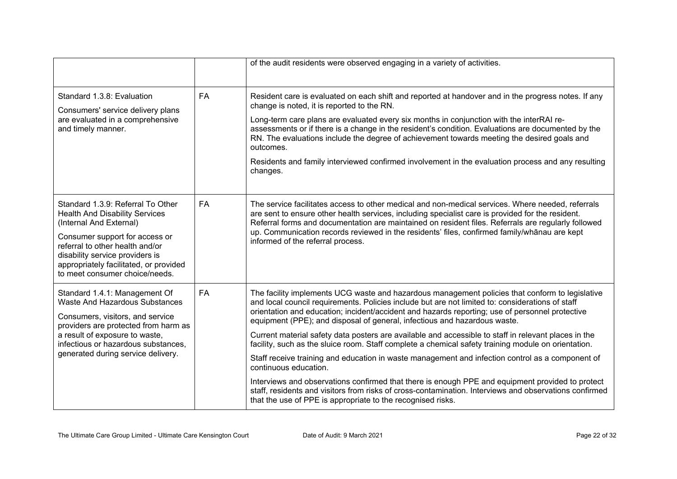|                                                                                                                                                                                                                                                                                           |    | of the audit residents were observed engaging in a variety of activities.                                                                                                                                                                                                                                                                                                                                                                                                                                                                                                                                                                                                                                                                                                                                                                                                                                                                                                                                    |
|-------------------------------------------------------------------------------------------------------------------------------------------------------------------------------------------------------------------------------------------------------------------------------------------|----|--------------------------------------------------------------------------------------------------------------------------------------------------------------------------------------------------------------------------------------------------------------------------------------------------------------------------------------------------------------------------------------------------------------------------------------------------------------------------------------------------------------------------------------------------------------------------------------------------------------------------------------------------------------------------------------------------------------------------------------------------------------------------------------------------------------------------------------------------------------------------------------------------------------------------------------------------------------------------------------------------------------|
| Standard 1.3.8: Evaluation<br>Consumers' service delivery plans<br>are evaluated in a comprehensive<br>and timely manner.                                                                                                                                                                 | FA | Resident care is evaluated on each shift and reported at handover and in the progress notes. If any<br>change is noted, it is reported to the RN.<br>Long-term care plans are evaluated every six months in conjunction with the interRAI re-<br>assessments or if there is a change in the resident's condition. Evaluations are documented by the<br>RN. The evaluations include the degree of achievement towards meeting the desired goals and<br>outcomes.<br>Residents and family interviewed confirmed involvement in the evaluation process and any resulting<br>changes.                                                                                                                                                                                                                                                                                                                                                                                                                            |
| Standard 1.3.9: Referral To Other<br><b>Health And Disability Services</b><br>(Internal And External)<br>Consumer support for access or<br>referral to other health and/or<br>disability service providers is<br>appropriately facilitated, or provided<br>to meet consumer choice/needs. | FA | The service facilitates access to other medical and non-medical services. Where needed, referrals<br>are sent to ensure other health services, including specialist care is provided for the resident.<br>Referral forms and documentation are maintained on resident files. Referrals are regularly followed<br>up. Communication records reviewed in the residents' files, confirmed family/whānau are kept<br>informed of the referral process.                                                                                                                                                                                                                                                                                                                                                                                                                                                                                                                                                           |
| Standard 1.4.1: Management Of<br>Waste And Hazardous Substances<br>Consumers, visitors, and service<br>providers are protected from harm as<br>a result of exposure to waste,<br>infectious or hazardous substances,<br>generated during service delivery.                                | FA | The facility implements UCG waste and hazardous management policies that conform to legislative<br>and local council requirements. Policies include but are not limited to: considerations of staff<br>orientation and education; incident/accident and hazards reporting; use of personnel protective<br>equipment (PPE); and disposal of general, infectious and hazardous waste.<br>Current material safety data posters are available and accessible to staff in relevant places in the<br>facility, such as the sluice room. Staff complete a chemical safety training module on orientation.<br>Staff receive training and education in waste management and infection control as a component of<br>continuous education.<br>Interviews and observations confirmed that there is enough PPE and equipment provided to protect<br>staff, residents and visitors from risks of cross-contamination. Interviews and observations confirmed<br>that the use of PPE is appropriate to the recognised risks. |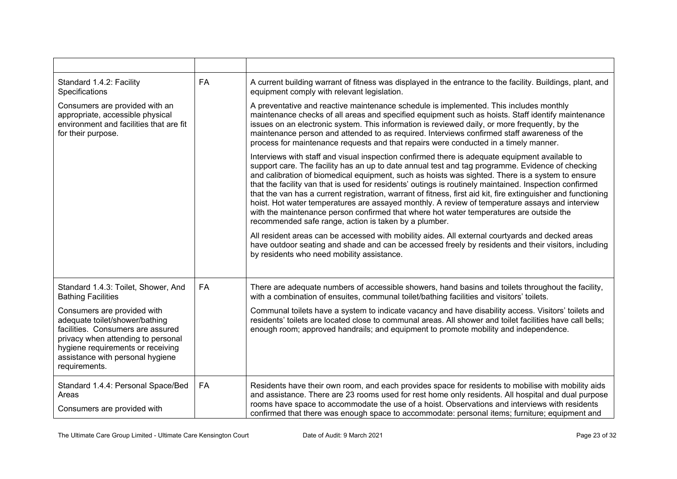| Standard 1.4.2: Facility<br>Specifications                                                                                                                                                                                         | FA | A current building warrant of fitness was displayed in the entrance to the facility. Buildings, plant, and<br>equipment comply with relevant legislation.                                                                                                                                                                                                                                                                                                                                                                                                                                                                                                                                                                                                                                 |
|------------------------------------------------------------------------------------------------------------------------------------------------------------------------------------------------------------------------------------|----|-------------------------------------------------------------------------------------------------------------------------------------------------------------------------------------------------------------------------------------------------------------------------------------------------------------------------------------------------------------------------------------------------------------------------------------------------------------------------------------------------------------------------------------------------------------------------------------------------------------------------------------------------------------------------------------------------------------------------------------------------------------------------------------------|
| Consumers are provided with an<br>appropriate, accessible physical<br>environment and facilities that are fit<br>for their purpose.                                                                                                |    | A preventative and reactive maintenance schedule is implemented. This includes monthly<br>maintenance checks of all areas and specified equipment such as hoists. Staff identify maintenance<br>issues on an electronic system. This information is reviewed daily, or more frequently, by the<br>maintenance person and attended to as required. Interviews confirmed staff awareness of the<br>process for maintenance requests and that repairs were conducted in a timely manner.                                                                                                                                                                                                                                                                                                     |
|                                                                                                                                                                                                                                    |    | Interviews with staff and visual inspection confirmed there is adequate equipment available to<br>support care. The facility has an up to date annual test and tag programme. Evidence of checking<br>and calibration of biomedical equipment, such as hoists was sighted. There is a system to ensure<br>that the facility van that is used for residents' outings is routinely maintained. Inspection confirmed<br>that the van has a current registration, warrant of fitness, first aid kit, fire extinguisher and functioning<br>hoist. Hot water temperatures are assayed monthly. A review of temperature assays and interview<br>with the maintenance person confirmed that where hot water temperatures are outside the<br>recommended safe range, action is taken by a plumber. |
|                                                                                                                                                                                                                                    |    | All resident areas can be accessed with mobility aides. All external courtyards and decked areas<br>have outdoor seating and shade and can be accessed freely by residents and their visitors, including<br>by residents who need mobility assistance.                                                                                                                                                                                                                                                                                                                                                                                                                                                                                                                                    |
| Standard 1.4.3: Toilet, Shower, And<br><b>Bathing Facilities</b>                                                                                                                                                                   | FA | There are adequate numbers of accessible showers, hand basins and toilets throughout the facility,<br>with a combination of ensuites, communal toilet/bathing facilities and visitors' toilets.                                                                                                                                                                                                                                                                                                                                                                                                                                                                                                                                                                                           |
| Consumers are provided with<br>adequate toilet/shower/bathing<br>facilities. Consumers are assured<br>privacy when attending to personal<br>hygiene requirements or receiving<br>assistance with personal hygiene<br>requirements. |    | Communal toilets have a system to indicate vacancy and have disability access. Visitors' toilets and<br>residents' toilets are located close to communal areas. All shower and toilet facilities have call bells;<br>enough room; approved handrails; and equipment to promote mobility and independence.                                                                                                                                                                                                                                                                                                                                                                                                                                                                                 |
| Standard 1.4.4: Personal Space/Bed<br>Areas<br>Consumers are provided with                                                                                                                                                         | FA | Residents have their own room, and each provides space for residents to mobilise with mobility aids<br>and assistance. There are 23 rooms used for rest home only residents. All hospital and dual purpose<br>rooms have space to accommodate the use of a hoist. Observations and interviews with residents<br>confirmed that there was enough space to accommodate: personal items; furniture; equipment and                                                                                                                                                                                                                                                                                                                                                                            |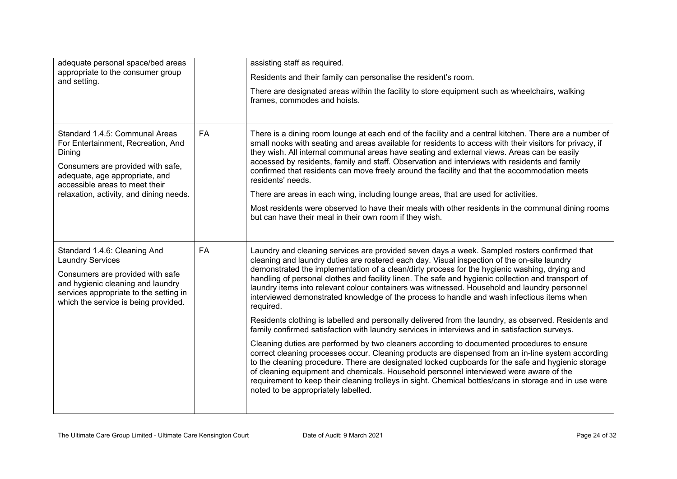| adequate personal space/bed areas<br>appropriate to the consumer group                                                                                                                                                             |           | assisting staff as required.<br>Residents and their family can personalise the resident's room.                                                                                                                                                                                                                                                                                                                                                                                                                                                                                                                                                                                                                                                                                                                         |  |  |
|------------------------------------------------------------------------------------------------------------------------------------------------------------------------------------------------------------------------------------|-----------|-------------------------------------------------------------------------------------------------------------------------------------------------------------------------------------------------------------------------------------------------------------------------------------------------------------------------------------------------------------------------------------------------------------------------------------------------------------------------------------------------------------------------------------------------------------------------------------------------------------------------------------------------------------------------------------------------------------------------------------------------------------------------------------------------------------------------|--|--|
| and setting.                                                                                                                                                                                                                       |           | There are designated areas within the facility to store equipment such as wheelchairs, walking<br>frames, commodes and hoists.                                                                                                                                                                                                                                                                                                                                                                                                                                                                                                                                                                                                                                                                                          |  |  |
| Standard 1.4.5: Communal Areas<br>For Entertainment, Recreation, And<br>Dining<br>Consumers are provided with safe,<br>adequate, age appropriate, and<br>accessible areas to meet their<br>relaxation, activity, and dining needs. | <b>FA</b> | There is a dining room lounge at each end of the facility and a central kitchen. There are a number of<br>small nooks with seating and areas available for residents to access with their visitors for privacy, if<br>they wish. All internal communal areas have seating and external views. Areas can be easily<br>accessed by residents, family and staff. Observation and interviews with residents and family<br>confirmed that residents can move freely around the facility and that the accommodation meets<br>residents' needs.<br>There are areas in each wing, including lounge areas, that are used for activities.<br>Most residents were observed to have their meals with other residents in the communal dining rooms<br>but can have their meal in their own room if they wish.                        |  |  |
| <b>FA</b><br>Standard 1.4.6: Cleaning And<br><b>Laundry Services</b><br>Consumers are provided with safe<br>and hygienic cleaning and laundry<br>services appropriate to the setting in<br>which the service is being provided.    |           | Laundry and cleaning services are provided seven days a week. Sampled rosters confirmed that<br>cleaning and laundry duties are rostered each day. Visual inspection of the on-site laundry<br>demonstrated the implementation of a clean/dirty process for the hygienic washing, drying and<br>handling of personal clothes and facility linen. The safe and hygienic collection and transport of<br>laundry items into relevant colour containers was witnessed. Household and laundry personnel<br>interviewed demonstrated knowledge of the process to handle and wash infectious items when<br>required.<br>Residents clothing is labelled and personally delivered from the laundry, as observed. Residents and<br>family confirmed satisfaction with laundry services in interviews and in satisfaction surveys. |  |  |
|                                                                                                                                                                                                                                    |           | Cleaning duties are performed by two cleaners according to documented procedures to ensure<br>correct cleaning processes occur. Cleaning products are dispensed from an in-line system according<br>to the cleaning procedure. There are designated locked cupboards for the safe and hygienic storage<br>of cleaning equipment and chemicals. Household personnel interviewed were aware of the<br>requirement to keep their cleaning trolleys in sight. Chemical bottles/cans in storage and in use were<br>noted to be appropriately labelled.                                                                                                                                                                                                                                                                       |  |  |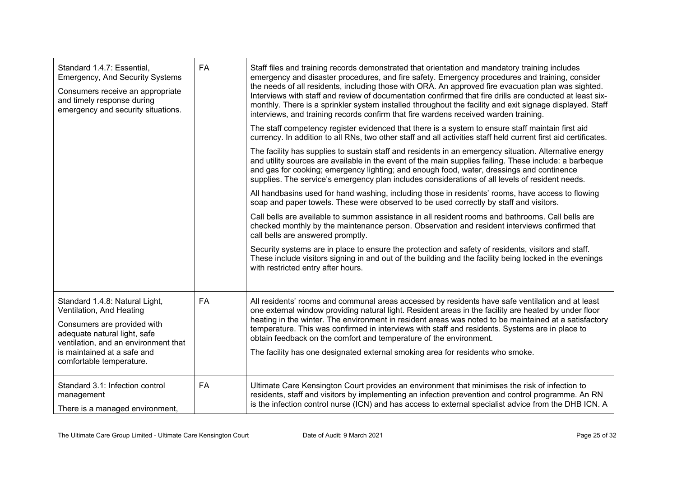| Standard 1.4.7: Essential,<br><b>Emergency, And Security Systems</b><br>Consumers receive an appropriate<br>and timely response during<br>emergency and security situations.                                                 | FA        | Staff files and training records demonstrated that orientation and mandatory training includes<br>emergency and disaster procedures, and fire safety. Emergency procedures and training, consider<br>the needs of all residents, including those with ORA. An approved fire evacuation plan was sighted.<br>Interviews with staff and review of documentation confirmed that fire drills are conducted at least six-<br>monthly. There is a sprinkler system installed throughout the facility and exit signage displayed. Staff<br>interviews, and training records confirm that fire wardens received warden training. |  |
|------------------------------------------------------------------------------------------------------------------------------------------------------------------------------------------------------------------------------|-----------|--------------------------------------------------------------------------------------------------------------------------------------------------------------------------------------------------------------------------------------------------------------------------------------------------------------------------------------------------------------------------------------------------------------------------------------------------------------------------------------------------------------------------------------------------------------------------------------------------------------------------|--|
|                                                                                                                                                                                                                              |           | The staff competency register evidenced that there is a system to ensure staff maintain first aid<br>currency. In addition to all RNs, two other staff and all activities staff held current first aid certificates.                                                                                                                                                                                                                                                                                                                                                                                                     |  |
|                                                                                                                                                                                                                              |           | The facility has supplies to sustain staff and residents in an emergency situation. Alternative energy<br>and utility sources are available in the event of the main supplies failing. These include: a barbeque<br>and gas for cooking; emergency lighting; and enough food, water, dressings and continence<br>supplies. The service's emergency plan includes considerations of all levels of resident needs.                                                                                                                                                                                                         |  |
|                                                                                                                                                                                                                              |           | All handbasins used for hand washing, including those in residents' rooms, have access to flowing<br>soap and paper towels. These were observed to be used correctly by staff and visitors.                                                                                                                                                                                                                                                                                                                                                                                                                              |  |
|                                                                                                                                                                                                                              |           | Call bells are available to summon assistance in all resident rooms and bathrooms. Call bells are<br>checked monthly by the maintenance person. Observation and resident interviews confirmed that<br>call bells are answered promptly.                                                                                                                                                                                                                                                                                                                                                                                  |  |
|                                                                                                                                                                                                                              |           | Security systems are in place to ensure the protection and safety of residents, visitors and staff.<br>These include visitors signing in and out of the building and the facility being locked in the evenings<br>with restricted entry after hours.                                                                                                                                                                                                                                                                                                                                                                     |  |
| Standard 1.4.8: Natural Light,<br>Ventilation, And Heating<br>Consumers are provided with<br>adequate natural light, safe<br>ventilation, and an environment that<br>is maintained at a safe and<br>comfortable temperature. | <b>FA</b> | All residents' rooms and communal areas accessed by residents have safe ventilation and at least<br>one external window providing natural light. Resident areas in the facility are heated by under floor<br>heating in the winter. The environment in resident areas was noted to be maintained at a satisfactory<br>temperature. This was confirmed in interviews with staff and residents. Systems are in place to<br>obtain feedback on the comfort and temperature of the environment.<br>The facility has one designated external smoking area for residents who smoke.                                            |  |
| Standard 3.1: Infection control<br>management<br>There is a managed environment,                                                                                                                                             | FA        | Ultimate Care Kensington Court provides an environment that minimises the risk of infection to<br>residents, staff and visitors by implementing an infection prevention and control programme. An RN<br>is the infection control nurse (ICN) and has access to external specialist advice from the DHB ICN. A                                                                                                                                                                                                                                                                                                            |  |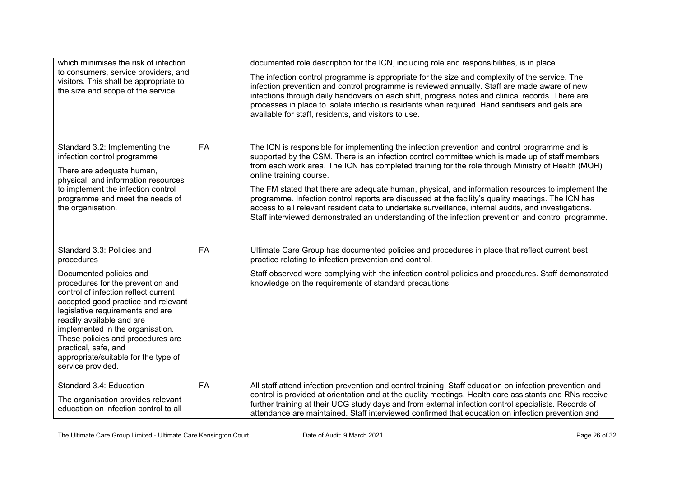| which minimises the risk of infection                                                                                                                                                                                                                                                                                                                                      |           | documented role description for the ICN, including role and responsibilities, is in place.                                                                                                                                                                                                                                                                                                                                                                                                                                                                                                                                                                                                                                                                |
|----------------------------------------------------------------------------------------------------------------------------------------------------------------------------------------------------------------------------------------------------------------------------------------------------------------------------------------------------------------------------|-----------|-----------------------------------------------------------------------------------------------------------------------------------------------------------------------------------------------------------------------------------------------------------------------------------------------------------------------------------------------------------------------------------------------------------------------------------------------------------------------------------------------------------------------------------------------------------------------------------------------------------------------------------------------------------------------------------------------------------------------------------------------------------|
| to consumers, service providers, and<br>visitors. This shall be appropriate to<br>the size and scope of the service.                                                                                                                                                                                                                                                       |           | The infection control programme is appropriate for the size and complexity of the service. The<br>infection prevention and control programme is reviewed annually. Staff are made aware of new<br>infections through daily handovers on each shift, progress notes and clinical records. There are<br>processes in place to isolate infectious residents when required. Hand sanitisers and gels are<br>available for staff, residents, and visitors to use.                                                                                                                                                                                                                                                                                              |
| Standard 3.2: Implementing the<br>infection control programme<br>There are adequate human,<br>physical, and information resources<br>to implement the infection control<br>programme and meet the needs of<br>the organisation.                                                                                                                                            | FA        | The ICN is responsible for implementing the infection prevention and control programme and is<br>supported by the CSM. There is an infection control committee which is made up of staff members<br>from each work area. The ICN has completed training for the role through Ministry of Health (MOH)<br>online training course.<br>The FM stated that there are adequate human, physical, and information resources to implement the<br>programme. Infection control reports are discussed at the facility's quality meetings. The ICN has<br>access to all relevant resident data to undertake surveillance, internal audits, and investigations.<br>Staff interviewed demonstrated an understanding of the infection prevention and control programme. |
| Standard 3.3: Policies and<br>procedures                                                                                                                                                                                                                                                                                                                                   | <b>FA</b> | Ultimate Care Group has documented policies and procedures in place that reflect current best<br>practice relating to infection prevention and control.                                                                                                                                                                                                                                                                                                                                                                                                                                                                                                                                                                                                   |
| Documented policies and<br>procedures for the prevention and<br>control of infection reflect current<br>accepted good practice and relevant<br>legislative requirements and are<br>readily available and are<br>implemented in the organisation.<br>These policies and procedures are<br>practical, safe, and<br>appropriate/suitable for the type of<br>service provided. |           | Staff observed were complying with the infection control policies and procedures. Staff demonstrated<br>knowledge on the requirements of standard precautions.                                                                                                                                                                                                                                                                                                                                                                                                                                                                                                                                                                                            |
| Standard 3.4: Education<br>The organisation provides relevant<br>education on infection control to all                                                                                                                                                                                                                                                                     | FA        | All staff attend infection prevention and control training. Staff education on infection prevention and<br>control is provided at orientation and at the quality meetings. Health care assistants and RNs receive<br>further training at their UCG study days and from external infection control specialists. Records of<br>attendance are maintained. Staff interviewed confirmed that education on infection prevention and                                                                                                                                                                                                                                                                                                                            |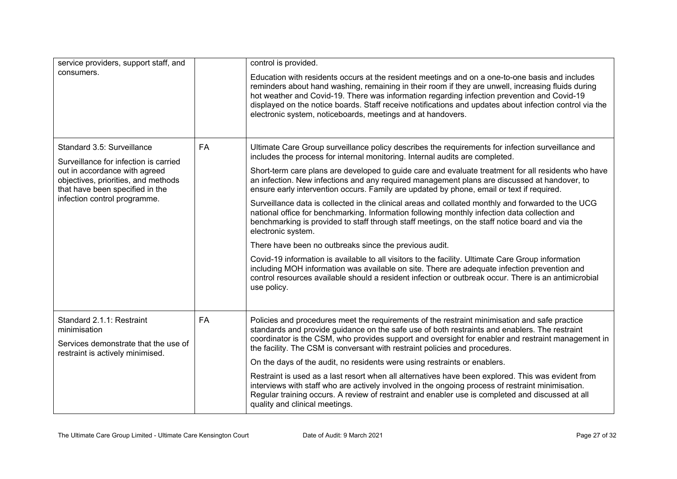| service providers, support staff, and                                                                                                                                                                          |    | control is provided.                                                                                                                                                                                                                                                                                                                                                                                                                                                           |  |  |
|----------------------------------------------------------------------------------------------------------------------------------------------------------------------------------------------------------------|----|--------------------------------------------------------------------------------------------------------------------------------------------------------------------------------------------------------------------------------------------------------------------------------------------------------------------------------------------------------------------------------------------------------------------------------------------------------------------------------|--|--|
| consumers.                                                                                                                                                                                                     |    | Education with residents occurs at the resident meetings and on a one-to-one basis and includes<br>reminders about hand washing, remaining in their room if they are unwell, increasing fluids during<br>hot weather and Covid-19. There was information regarding infection prevention and Covid-19<br>displayed on the notice boards. Staff receive notifications and updates about infection control via the<br>electronic system, noticeboards, meetings and at handovers. |  |  |
| Standard 3.5: Surveillance<br>Surveillance for infection is carried<br>out in accordance with agreed<br>objectives, priorities, and methods<br>that have been specified in the<br>infection control programme. | FA | Ultimate Care Group surveillance policy describes the requirements for infection surveillance and<br>includes the process for internal monitoring. Internal audits are completed.                                                                                                                                                                                                                                                                                              |  |  |
|                                                                                                                                                                                                                |    | Short-term care plans are developed to guide care and evaluate treatment for all residents who have<br>an infection. New infections and any required management plans are discussed at handover, to<br>ensure early intervention occurs. Family are updated by phone, email or text if required.                                                                                                                                                                               |  |  |
|                                                                                                                                                                                                                |    | Surveillance data is collected in the clinical areas and collated monthly and forwarded to the UCG<br>national office for benchmarking. Information following monthly infection data collection and<br>benchmarking is provided to staff through staff meetings, on the staff notice board and via the<br>electronic system.                                                                                                                                                   |  |  |
|                                                                                                                                                                                                                |    | There have been no outbreaks since the previous audit.                                                                                                                                                                                                                                                                                                                                                                                                                         |  |  |
|                                                                                                                                                                                                                |    | Covid-19 information is available to all visitors to the facility. Ultimate Care Group information<br>including MOH information was available on site. There are adequate infection prevention and<br>control resources available should a resident infection or outbreak occur. There is an antimicrobial<br>use policy.                                                                                                                                                      |  |  |
| Standard 2.1.1: Restraint<br><b>FA</b><br>minimisation                                                                                                                                                         |    | Policies and procedures meet the requirements of the restraint minimisation and safe practice<br>standards and provide guidance on the safe use of both restraints and enablers. The restraint                                                                                                                                                                                                                                                                                 |  |  |
| Services demonstrate that the use of<br>restraint is actively minimised.                                                                                                                                       |    | coordinator is the CSM, who provides support and oversight for enabler and restraint management in<br>the facility. The CSM is conversant with restraint policies and procedures.                                                                                                                                                                                                                                                                                              |  |  |
|                                                                                                                                                                                                                |    | On the days of the audit, no residents were using restraints or enablers.                                                                                                                                                                                                                                                                                                                                                                                                      |  |  |
|                                                                                                                                                                                                                |    | Restraint is used as a last resort when all alternatives have been explored. This was evident from<br>interviews with staff who are actively involved in the ongoing process of restraint minimisation.<br>Regular training occurs. A review of restraint and enabler use is completed and discussed at all<br>quality and clinical meetings.                                                                                                                                  |  |  |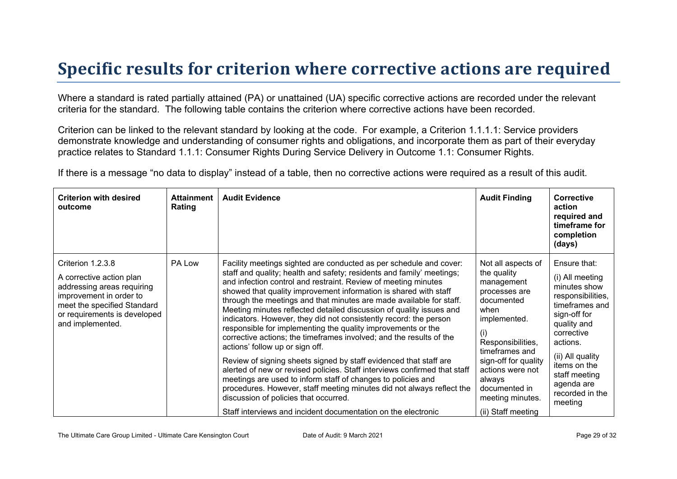### **Specific results for criterion where corrective actions are required**

Where a standard is rated partially attained (PA) or unattained (UA) specific corrective actions are recorded under the relevant criteria for the standard. The following table contains the criterion where corrective actions have been recorded.

Criterion can be linked to the relevant standard by looking at the code. For example, a Criterion 1.1.1.1: Service providers demonstrate knowledge and understanding of consumer rights and obligations, and incorporate them as part of their everyday practice relates to Standard 1.1.1: Consumer Rights During Service Delivery in Outcome 1.1: Consumer Rights.

If there is a message "no data to display" instead of a table, then no corrective actions were required as a result of this audit.

| <b>Criterion with desired</b><br>outcome                                                                                                                                                  | <b>Attainment</b><br>Rating | <b>Audit Evidence</b>                                                                                                                                                                                                                                                                                                                                                                                                                                                                                                                                                                                                                                                                                                                                                                                                                                                                                                                                                                                                                                                               | <b>Audit Finding</b>                                                                                                                                                                                                                                                  | <b>Corrective</b><br>action<br>required and<br>timeframe for<br>completion<br>(days)                                                                                                                                                             |
|-------------------------------------------------------------------------------------------------------------------------------------------------------------------------------------------|-----------------------------|-------------------------------------------------------------------------------------------------------------------------------------------------------------------------------------------------------------------------------------------------------------------------------------------------------------------------------------------------------------------------------------------------------------------------------------------------------------------------------------------------------------------------------------------------------------------------------------------------------------------------------------------------------------------------------------------------------------------------------------------------------------------------------------------------------------------------------------------------------------------------------------------------------------------------------------------------------------------------------------------------------------------------------------------------------------------------------------|-----------------------------------------------------------------------------------------------------------------------------------------------------------------------------------------------------------------------------------------------------------------------|--------------------------------------------------------------------------------------------------------------------------------------------------------------------------------------------------------------------------------------------------|
| Criterion 1.2.3.8<br>A corrective action plan<br>addressing areas requiring<br>improvement in order to<br>meet the specified Standard<br>or requirements is developed<br>and implemented. | PA Low                      | Facility meetings sighted are conducted as per schedule and cover:<br>staff and quality; health and safety; residents and family' meetings;<br>and infection control and restraint. Review of meeting minutes<br>showed that quality improvement information is shared with staff<br>through the meetings and that minutes are made available for staff.<br>Meeting minutes reflected detailed discussion of quality issues and<br>indicators. However, they did not consistently record: the person<br>responsible for implementing the quality improvements or the<br>corrective actions; the timeframes involved; and the results of the<br>actions' follow up or sign off.<br>Review of signing sheets signed by staff evidenced that staff are<br>alerted of new or revised policies. Staff interviews confirmed that staff<br>meetings are used to inform staff of changes to policies and<br>procedures. However, staff meeting minutes did not always reflect the<br>discussion of policies that occurred.<br>Staff interviews and incident documentation on the electronic | Not all aspects of<br>the quality<br>management<br>processes are<br>documented<br>when<br>implemented.<br>(i)<br>Responsibilities,<br>timeframes and<br>sign-off for quality<br>actions were not<br>always<br>documented in<br>meeting minutes.<br>(ii) Staff meeting | Ensure that:<br>(i) All meeting<br>minutes show<br>responsibilities,<br>timeframes and<br>sign-off for<br>quality and<br>corrective<br>actions.<br>(ii) All quality<br>items on the<br>staff meeting<br>agenda are<br>recorded in the<br>meeting |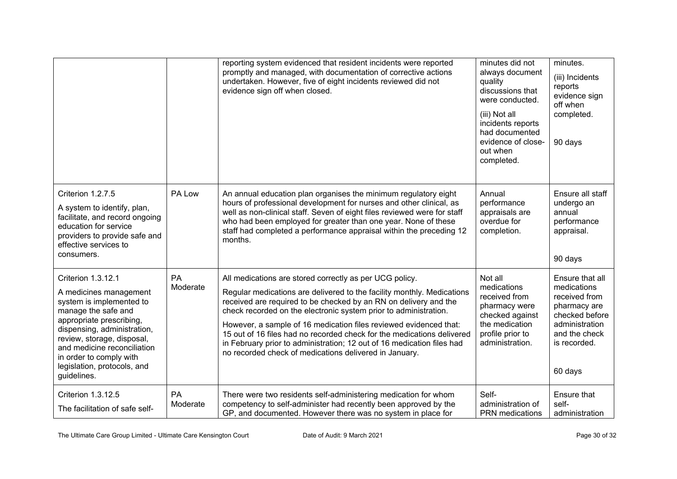|                                                                                                                                                                                                                                                                                                  |                | reporting system evidenced that resident incidents were reported<br>promptly and managed, with documentation of corrective actions<br>undertaken. However, five of eight incidents reviewed did not<br>evidence sign off when closed.                                                                                                                                                                                                                                                                                                                        | minutes did not<br>always document<br>quality<br>discussions that<br>were conducted.<br>(iii) Not all<br>incidents reports<br>had documented<br>evidence of close-<br>out when<br>completed. | minutes.<br>(iii) Incidents<br>reports<br>evidence sign<br>off when<br>completed.<br>90 days                                                    |
|--------------------------------------------------------------------------------------------------------------------------------------------------------------------------------------------------------------------------------------------------------------------------------------------------|----------------|--------------------------------------------------------------------------------------------------------------------------------------------------------------------------------------------------------------------------------------------------------------------------------------------------------------------------------------------------------------------------------------------------------------------------------------------------------------------------------------------------------------------------------------------------------------|----------------------------------------------------------------------------------------------------------------------------------------------------------------------------------------------|-------------------------------------------------------------------------------------------------------------------------------------------------|
| Criterion 1.2.7.5<br>A system to identify, plan,<br>facilitate, and record ongoing<br>education for service<br>providers to provide safe and<br>effective services to<br>consumers.                                                                                                              | PA Low         | An annual education plan organises the minimum regulatory eight<br>hours of professional development for nurses and other clinical, as<br>well as non-clinical staff. Seven of eight files reviewed were for staff<br>who had been employed for greater than one year. None of these<br>staff had completed a performance appraisal within the preceding 12<br>months.                                                                                                                                                                                       | Annual<br>performance<br>appraisals are<br>overdue for<br>completion.                                                                                                                        | Ensure all staff<br>undergo an<br>annual<br>performance<br>appraisal.<br>90 days                                                                |
| Criterion 1.3.12.1<br>A medicines management<br>system is implemented to<br>manage the safe and<br>appropriate prescribing,<br>dispensing, administration,<br>review, storage, disposal,<br>and medicine reconciliation<br>in order to comply with<br>legislation, protocols, and<br>guidelines. | PA<br>Moderate | All medications are stored correctly as per UCG policy.<br>Regular medications are delivered to the facility monthly. Medications<br>received are required to be checked by an RN on delivery and the<br>check recorded on the electronic system prior to administration.<br>However, a sample of 16 medication files reviewed evidenced that:<br>15 out of 16 files had no recorded check for the medications delivered<br>in February prior to administration; 12 out of 16 medication files had<br>no recorded check of medications delivered in January. | Not all<br>medications<br>received from<br>pharmacy were<br>checked against<br>the medication<br>profile prior to<br>administration.                                                         | Ensure that all<br>medications<br>received from<br>pharmacy are<br>checked before<br>administration<br>and the check<br>is recorded.<br>60 days |
| Criterion 1.3.12.5<br>The facilitation of safe self-                                                                                                                                                                                                                                             | PA<br>Moderate | There were two residents self-administering medication for whom<br>competency to self-administer had recently been approved by the<br>GP, and documented. However there was no system in place for                                                                                                                                                                                                                                                                                                                                                           | Self-<br>administration of<br>PRN medications                                                                                                                                                | Ensure that<br>self-<br>administration                                                                                                          |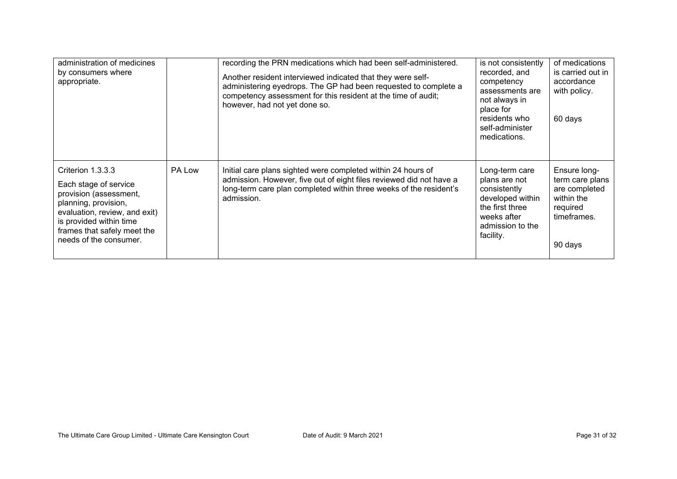| administration of medicines<br>by consumers where<br>appropriate.                                                                                                                                                 |        | recording the PRN medications which had been self-administered.<br>Another resident interviewed indicated that they were self-<br>administering eyedrops. The GP had been requested to complete a<br>competency assessment for this resident at the time of audit;<br>however, had not yet done so. | is not consistently<br>recorded, and<br>competency<br>assessments are<br>not always in<br>place for<br>residents who<br>self-administer<br>medications. | of medications<br>is carried out in<br>accordance<br>with policy.<br>60 days                         |
|-------------------------------------------------------------------------------------------------------------------------------------------------------------------------------------------------------------------|--------|-----------------------------------------------------------------------------------------------------------------------------------------------------------------------------------------------------------------------------------------------------------------------------------------------------|---------------------------------------------------------------------------------------------------------------------------------------------------------|------------------------------------------------------------------------------------------------------|
| Criterion 1.3.3.3<br>Each stage of service<br>provision (assessment,<br>planning, provision,<br>evaluation, review, and exit)<br>is provided within time<br>frames that safely meet the<br>needs of the consumer. | PA Low | Initial care plans sighted were completed within 24 hours of<br>admission. However, five out of eight files reviewed did not have a<br>long-term care plan completed within three weeks of the resident's<br>admission.                                                                             | Long-term care<br>plans are not<br>consistently<br>developed within<br>the first three<br>weeks after<br>admission to the<br>facility.                  | Ensure long-<br>term care plans<br>are completed<br>within the<br>required<br>timeframes.<br>90 days |